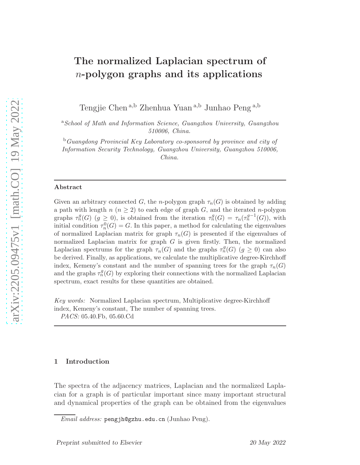# The normalized Laplacian spectrum of  $n$ -polygon graphs and its applications

Tengjie Chen <sup>a</sup>,<sup>b</sup> Zhenhua Yuan <sup>a</sup>,<sup>b</sup> Junhao Peng <sup>a</sup>,<sup>b</sup>

<sup>a</sup>*School of Math and Information Science, Guangzhou University, Guangzhou 510006, China.*

<sup>b</sup>*Guangdong Provincial Key Laboratory co-sponsored by province and city of Information Security Technology, Guangzhou University, Guangzhou 510006, China.*

#### Abstract

Given an arbitrary connected G, the n-polygon graph  $\tau_n(G)$  is obtained by adding a path with length  $n (n \geq 2)$  to each edge of graph G, and the iterated n-polygon graphs  $\tau_n^g(G)$   $(g \geq 0)$ , is obtained from the iteration  $\tau_n^g(G) = \tau_n(\tau_n^{g-1}(G))$ , with initial condition  $\tau_n^0(G) = G$ . In this paper, a method for calculating the eigenvalues of normalized Laplacian matrix for graph  $\tau_n(G)$  is presented if the eigenvalues of normalized Laplacian matrix for graph  $G$  is given firstly. Then, the normalized Laplacian spectrums for the graph  $\tau_n(G)$  and the graphs  $\tau_n^g(G)$  ( $g \geq 0$ ) can also be derived. Finally, as applications, we calculate the multiplicative degree-Kirchhoff index, Kemeny's constant and the number of spanning trees for the graph  $\tau_n(G)$ and the graphs  $\tau_n^g(G)$  by exploring their connections with the normalized Laplacian spectrum, exact results for these quantities are obtained.

*Key words:* Normalized Laplacian spectrum, Multiplicative degree-Kirchhoff index, Kemeny's constant, The number of spanning trees. *PACS:* 05.40.Fb, 05.60.Cd

### 1 Introduction

The spectra of the adjacency matrices, Laplacian and the normalized Laplacian for a graph is of particular important since many important structural and dynamical properties of the graph can be obtained from the eigenvalues

*Email address:* pengjh@gzhu.edu.cn (Junhao Peng).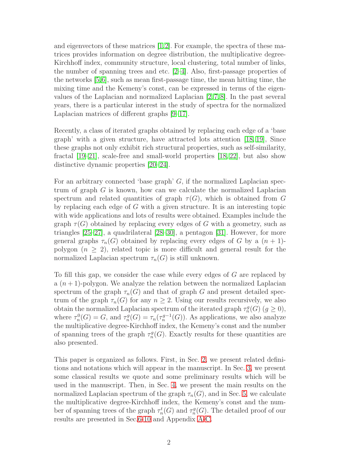and eigenvectors of these matrices [\[1,](#page-33-0)[2\]](#page-33-1). For example, the spectra of these matrices provides information on degree distribution, the multiplicative degree-Kirchhoff index, community structure, local clustering, total number of links, the number of spanning trees and etc. [\[2](#page-33-1)[–4\]](#page-34-0). Also, first-passage properties of the networks [\[5,](#page-34-1)[6\]](#page-34-2), such as mean first-passage time, the mean hitting time, the mixing time and the Kemeny's const, can be expressed in terms of the eigenvalues of the Laplacian and normalized Laplacian [\[2,](#page-33-1) [7,](#page-34-3) [8\]](#page-34-4). In the past several years, there is a particular interest in the study of spectra for the normalized Laplacian matrices of different graphs [\[9–](#page-34-5)[17\]](#page-34-6).

Recently, a class of iterated graphs obtained by replacing each edge of a 'base graph' with a given structure, have attracted lots attention [\[18,](#page-34-7) [19\]](#page-34-8), Since these graphs not only exhibit rich structural properties, such as self-similarity, fractal [\[19–](#page-34-8)[21\]](#page-35-0), scale-free and small-world properties [\[18,](#page-34-7) [22\]](#page-35-1), but also show distinctive dynamic properties [\[20–](#page-35-2)[24\]](#page-35-3).

For an arbitrary connected 'base graph'  $G$ , if the normalized Laplacian spectrum of graph  $G$  is known, how can we calculate the normalized Laplacian spectrum and related quantities of graph  $\tau(G)$ , which is obtained from G by replacing each edge of G with a given structure. It is an interesting topic with wide applications and lots of results were obtained. Examples include the graph  $\tau(G)$  obtained by replacing every edges of G with a geometry, such as triangles [\[25–](#page-35-4)[27\]](#page-35-5), a quadrilateral [\[28](#page-35-6)[–30\]](#page-35-7), a pentagon [\[31\]](#page-35-8). However, for more general graphs  $\tau_n(G)$  obtained by replacing every edges of G by a  $(n+1)$ polygon  $(n \geq 2)$ , related topic is more difficult and general result for the normalized Laplacian spectrum  $\tau_n(G)$  is still unknown.

To fill this gap, we consider the case while every edges of G are replaced by a  $(n+1)$ -polygon. We analyze the relation between the normalized Laplacian spectrum of the graph  $\tau_n(G)$  and that of graph G and present detailed spectrum of the graph  $\tau_n(G)$  for any  $n \geq 2$ . Using our results recursively, we also obtain the normalized Laplacian spectrum of the iterated graph  $\tau_n^g(G)$  ( $g \ge 0$ ), where  $\tau_n^0(G) = G$ , and  $\tau_n^g(G) = \tau_n(\tau_n^{g-1}(G))$ . As applications, we also analyze the multiplicative degree-Kirchhoff index, the Kemeny's const and the number of spanning trees of the graph  $\tau_n^g(G)$ . Exactly results for these quantities are also presented.

This paper is organized as follows. First, in Sec. [2,](#page-2-0) we present related definitions and notations which will appear in the manuscript. In Sec. [3,](#page-4-0) we present some classical results we quote and some preliminary results which will be used in the manuscript. Then, in Sec. [4,](#page-7-0) we present the main results on the normalized Laplacian spectrum of the graph  $\tau_n(G)$ , and in Sec. [5,](#page-9-0) we calculate the multiplicative degree-Kirchhoff index, the Kemeny's const and the number of spanning trees of the graph  $\tau_n^t(G)$  and  $\tau_n^g(G)$ . The detailed proof of our results are presented in Sec[.6-](#page-10-0)[10](#page-30-0) and Appendix [A](#page-36-0)[-C.](#page-41-0)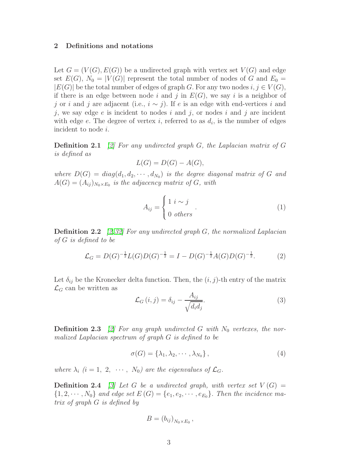## <span id="page-2-0"></span>2 Definitions and notations

Let  $G = (V(G), E(G))$  be a undirected graph with vertex set  $V(G)$  and edge set  $E(G)$ ,  $N_0 = |V(G)|$  represent the total number of nodes of G and  $E_0 =$  $|E(G)|$  be the total number of edges of graph G. For any two nodes  $i, j \in V(G)$ , if there is an edge between node i and j in  $E(G)$ , we say i is a neighbor of j or i and j are adjacent (i.e.,  $i \sim j$ ). If e is an edge with end-vertices i and j, we say edge  $e$  is incident to nodes i and j, or nodes i and j are incident with edge  $e$ . The degree of vertex  $i$ , referred to as  $d_i$ , is the number of edges incident to node i.

**Definition 2.1** [\[2\]](#page-33-1) For any undirected graph G, the Laplacian matrix of G is defined as

$$
L(G) = D(G) - A(G),
$$

where  $D(G) = diag(d_1, d_2, \dots, d_{N_0})$  is the degree diagonal matrix of G and  $A(G) = (A_{ij})_{N_0 \times E_0}$  is the adjacency matrix of  $G$ , with

$$
A_{ij} = \begin{cases} 1 \ i \sim j \\ 0 \ \text{others} \end{cases} . \tag{1}
$$

**Definition 2.2** [\[2,](#page-33-1)[32\]](#page-35-9) For any undirected graph G, the normalized Laplacian of G is defined to be

$$
\mathcal{L}_G = D(G)^{-\frac{1}{2}} L(G) D(G)^{-\frac{1}{2}} = I - D(G)^{-\frac{1}{2}} A(G) D(G)^{-\frac{1}{2}}.
$$
 (2)

Let  $\delta_{ij}$  be the Kronecker delta function. Then, the  $(i, j)$ -th entry of the matrix  $\mathcal{L}_G$  can be written as

<span id="page-2-1"></span>
$$
\mathcal{L}_G(i,j) = \delta_{ij} - \frac{A_{ij}}{\sqrt{d_i d_j}}.\tag{3}
$$

**Definition 2.3** [\[2\]](#page-33-1) For any graph undirected G with  $N_0$  vertexes, the normalized Laplacian spectrum of graph G is defined to be

$$
\sigma(G) = \{\lambda_1, \lambda_2, \cdots, \lambda_{N_0}\},\tag{4}
$$

where  $\lambda_i$  (i = 1, 2,  $\cdots$ ,  $N_0$ ) are the eigenvalues of  $\mathcal{L}_G$ .

**Definition 2.4** [\[3\]](#page-33-2) Let G be a undirected graph, with vertex set  $V(G)$  =  ${1, 2, \cdots, N_0}$  and edge set  $E(G) = \{e_1, e_2, \cdots, e_{E_0}\}.$  Then the incidence matrix of graph G is defined by

$$
B = (b_{ij})_{N_0 \times E_0},
$$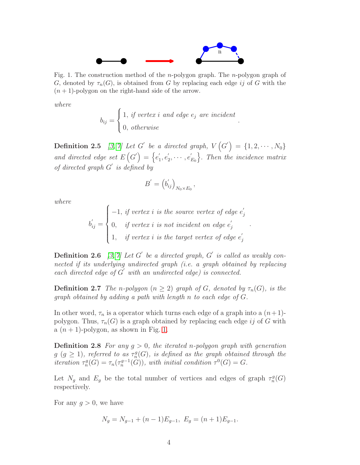

<span id="page-3-0"></span>Fig. 1. The construction method of the *n*-polygon graph. The *n*-polygon graph of G, denoted by  $\tau_n(G)$ , is obtained from G by replacing each edge ij of G with the  $(n + 1)$ -polygon on the right-hand side of the arrow.

where

$$
b_{ij} = \begin{cases} 1, & if \, vertex \, i \, \, and \, edge \, e_j \, \, are \, incident \\ 0, & otherwise \end{cases}.
$$

<span id="page-3-3"></span>**Definition 2.5** [\[3,](#page-33-2) [7\]](#page-34-3) Let G' be a directed graph,  $V(G') = \{1, 2, \cdots, N_0\}$ and directed edge set  $E(G') = \{e'_1\}$  $'_{1}, e'_{2}$  $y'_2, \cdots, e'_j$  $E_0$  $\mathcal{E}(\mathcal{G}') = \{e'_1, e'_2, \cdots, e'_{E_0}\}.$  Then the incidence matrix of directed graph  $G'$  is defined by

$$
B'=\left(b_{ij}'\right)_{N_0\times E_0},\,
$$

where

$$
b'_{ij} = \begin{cases} -1, & if \, vertex \, i \, is \, the \, source \, vertex \, of \, edge \, e'_j \\ 0, & if \, vertex \, i \, is \, not \, incident \, on \, edge \, e'_j \\ 1, & if \, vertex \, i \, is \, the \, target \, vertex \, of \, edge \, e'_j \end{cases}
$$

.

<span id="page-3-4"></span>**Definition 2.6** [\[3,](#page-33-2) [7\]](#page-34-3) Let G' be a directed graph, G' is called as weakly connected if its underlying undirected graph (i.e. a graph obtained by replacing each directed edge of  $G'$  with an undirected edge) is connected.

<span id="page-3-1"></span>**Definition 2.7** The n-polygon  $(n \geq 2)$  graph of G, denoted by  $\tau_n(G)$ , is the graph obtained by adding a path with length n to each edge of G.

In other word,  $\tau_n$  is a operator which turns each edge of a graph into a  $(n+1)$ polygon. Thus,  $\tau_n(G)$  is a graph obtained by replacing each edge ij of G with a  $(n + 1)$ -polygon, as shown in Fig. [1.](#page-3-0)

**Definition 2.8** For any  $q > 0$ , the iterated n-polygon graph with generation  $g\ (g \geq 1)$ , referred to as  $\tau_n^g(G)$ , is defined as the graph obtained through the iteration  $\tau_n^g(G) = \tau_n(\tau_n^{g-1}(G))$ , with initial condition  $\tau^0(G) = G$ .

Let  $N_g$  and  $E_g$  be the total number of vertices and edges of graph  $\tau_n^g(G)$ respectively.

For any  $q > 0$ , we have

<span id="page-3-2"></span>
$$
N_g = N_{g-1} + (n-1)E_{g-1}, \ E_g = (n+1)E_{g-1}.
$$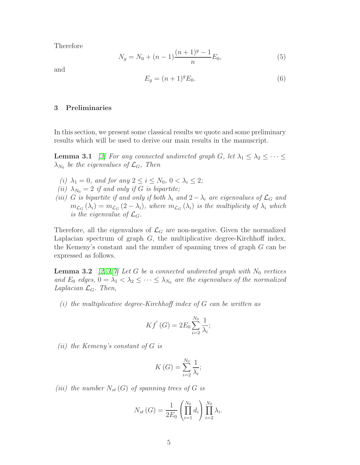Therefore

<span id="page-4-4"></span>
$$
N_g = N_0 + (n-1)\frac{(n+1)^g - 1}{n}E_0,
$$
\n(5)

and

$$
E_g = (n+1)^g E_0.
$$
\n(6)

## <span id="page-4-0"></span>3 Preliminaries

<span id="page-4-2"></span>In this section, we present some classical results we quote and some preliminary results which will be used to derive our main results in the manuscript.

**Lemma 3.1** [\[3\]](#page-33-2) For any connected undirected graph G, let  $\lambda_1 \leq \lambda_2 \leq \cdots \leq$  $\lambda_{N_0}$  be the eigenvalues of  $\mathcal{L}_G$ , Then

- (i)  $\lambda_1 = 0$ , and for any  $2 \le i \le N_0$ ,  $0 < \lambda_i \le 2$ ;
- (ii)  $\lambda_{N_0} = 2$  if and only if G is bipartite;
- (iii) G is bipartite if and only if both  $\lambda_i$  and  $2 \lambda_i$  are eigenvalues of  $\mathcal{L}_G$  and  $m_{\mathcal{L}_G}(\lambda_i) = m_{\mathcal{L}_G}(2-\lambda_i)$ , where  $m_{\mathcal{L}_G}(\lambda_i)$  is the multiplicity of  $\lambda_i$  which is the eigenvalue of  $\mathcal{L}_G$ .

Therefore, all the eigenvalues of  $\mathcal{L}_G$  are non-negative. Given the normalized Laplacian spectrum of graph  $G$ , the multiplicative degree-Kirchhoff index, the Kemeny's constant and the number of spanning trees of graph G can be expressed as follows.

<span id="page-4-1"></span>**Lemma 3.2** [\[2,](#page-33-1) [3,](#page-33-2) [7\]](#page-34-3) Let G be a connected undirected graph with  $N_0$  vertices and  $E_0$  edges,  $0 = \lambda_1 < \lambda_2 \leq \cdots \leq \lambda_{N_0}$  are the eigenvalues of the normalized Laplacian  $\mathcal{L}_G$ . Then,

 $(i)$  the multiplicative degree-Kirchhoff index of G can be written as

$$
Kf'(G) = 2E_0 \sum_{i=2}^{N_0} \frac{1}{\lambda_i};
$$

 $(ii)$  the Kemeny's constant of G is

$$
K\left(G\right) = \sum_{i=2}^{N_0} \frac{1}{\lambda_i};
$$

<span id="page-4-3"></span>(iii) the number  $N_{st}(G)$  of spanning trees of G is

$$
N_{st}(G) = \frac{1}{2E_0} \left( \prod_{i=1}^{N_0} d_i \right) \prod_{i=2}^{N_0} \lambda_i.
$$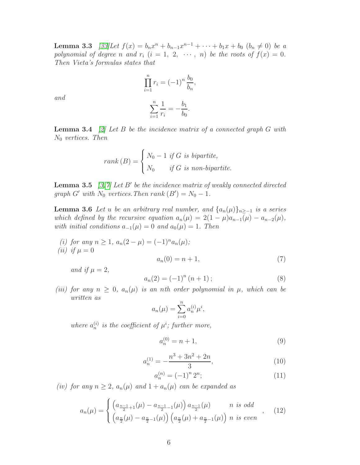**Lemma 3.3** [\[33\]](#page-35-10)Let  $f(x) = b_n x^n + b_{n-1} x^{n-1} + \cdots + b_1 x + b_0$   $(b_n \neq 0)$  be a polynomial of degree n and  $r_i$   $(i = 1, 2, \cdots, n)$  be the roots of  $f(x) = 0$ . Then Vieta's formulas states that

$$
\prod_{i=1}^{n} r_i = (-1)^n \frac{b_0}{b_n},
$$

$$
\sum_{i=1}^{n} \frac{1}{r_i} = -\frac{b_1}{b_0}.
$$

and

<span id="page-5-4"></span>**Lemma 3.4** [\[2\]](#page-33-1) Let B be the incidence matrix of a connected graph  $G$  with  $N_0$  vertices. Then

$$
rank(B) = \begin{cases} N_0 - 1 & \text{if } G \text{ is bipartite,} \\ N_0 & \text{if } G \text{ is non-bipartite.} \end{cases}
$$

<span id="page-5-3"></span><span id="page-5-0"></span>**Lemma 3.5** [\[3,](#page-33-2)[7\]](#page-34-3) Let B' be the incidence matrix of weakly connected directed graph  $G'$  with  $N_0$  vertices. Then  $rank(B') = N_0 - 1$ .

**Lemma 3.6** Let u be an arbitrary real number, and  $\{a_n(\mu)\}_{n>−1}$  is a series which defined by the recursive equation  $a_n(\mu) = 2(1 - \mu)a_{n-1}(\mu) - a_{n-2}(\mu)$ , with initial conditions  $a_{-1}(\mu) = 0$  and  $a_0(\mu) = 1$ . Then

(i) for any  $n \geq 1$ ,  $a_n(2-\mu) = (-1)^n a_n(\mu);$ (*ii*) if  $\mu = 0$  $a_n(0) = n + 1,$  (7)

and if  $\mu = 2$ ,

<span id="page-5-5"></span><span id="page-5-2"></span>
$$
a_n(2) = (-1)^n (n+1); \t\t(8)
$$

(iii) for any  $n \geq 0$ ,  $a_n(\mu)$  is an nth order polynomial in  $\mu$ , which can be written as

$$
a_n(\mu) = \sum_{i=0}^n a_n^{(i)} \mu^i,
$$

where  $a_n^{(i)}$  is the coefficient of  $\mu^i$ ; further more,

<span id="page-5-6"></span>
$$
a_n^{(0)} = n + 1,\t\t(9)
$$

<span id="page-5-7"></span>
$$
a_n^{(1)} = -\frac{n^3 + 3n^2 + 2n}{3},\tag{10}
$$

<span id="page-5-8"></span>
$$
a_n^{(n)} = (-1)^n 2^n; \tag{11}
$$

(iv) for any  $n \geq 2$ ,  $a_n(\mu)$  and  $1 + a_n(\mu)$  can be expanded as

<span id="page-5-1"></span>
$$
a_n(\mu) = \begin{cases} \left( a_{\frac{n-1}{2}+1}(\mu) - a_{\frac{n-1}{2}-1}(\mu) \right) a_{\frac{n-1}{2}}(\mu) & n \text{ is odd} \\ \left( a_{\frac{n}{2}}(\mu) - a_{\frac{n}{2}-1}(\mu) \right) \left( a_{\frac{n}{2}}(\mu) + a_{\frac{n}{2}-1}(\mu) \right) n & n \text{ is even} \end{cases}
$$
 (12)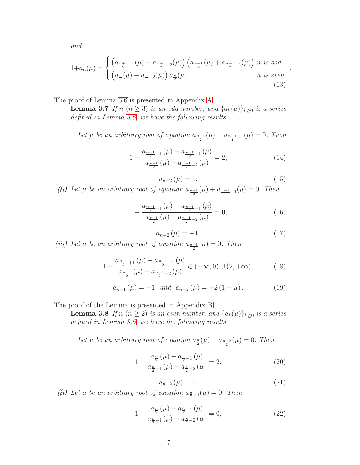and

<span id="page-6-0"></span>
$$
1 + a_n(\mu) = \begin{cases} \left( a_{\frac{n+1}{2} - 1}(\mu) - a_{\frac{n+1}{2} - 2}(\mu) \right) \left( a_{\frac{n+1}{2}}(\mu) + a_{\frac{n+1}{2} - 1}(\mu) \right) n \text{ is odd} \\ \left( a_{\frac{n}{2}}(\mu) - a_{\frac{n}{2} - 2}(\mu) \right) a_{\frac{n}{2}}(\mu) & n \text{ is even} \end{cases}
$$
(13)

The proof of Lemma [3.6](#page-5-0) is presented in Appendix [A.](#page-36-0)

**Lemma 3.7** If n  $(n \geq 3)$  is an odd number, and  $\{a_k(\mu)\}_{k \geq 0}$  is a series defined in Lemma [3.6,](#page-5-0) we have the following results.

Let  $\mu$  be an arbitrary root of equation  $a_{\frac{n-1}{2}}(\mu) - a_{\frac{n-1}{2}-1}(\mu) = 0$ . Then

$$
1 - \frac{a_{\frac{n-1}{2}+1}(\mu) - a_{\frac{n-1}{2}-1}(\mu)}{a_{\frac{n-1}{2}}(\mu) - a_{\frac{n-1}{2}-2}(\mu)} = 2,
$$
\n(14)

$$
a_{n-2}\left(\mu\right) = 1.\tag{15}
$$

<span id="page-6-1"></span>.

(*ii*) Let  $\mu$  be an arbitrary root of equation  $a_{\frac{n-1}{2}}(\mu) + a_{\frac{n-1}{2}-1}(\mu) = 0$ . Then

$$
1 - \frac{a_{\frac{n-1}{2}+1}(\mu) - a_{\frac{n-1}{2}-1}(\mu)}{a_{\frac{n-1}{2}}(\mu) - a_{\frac{n-1}{2}-2}(\mu)} = 0,
$$
\n(16)

<span id="page-6-4"></span>
$$
a_{n-2}(\mu) = -1.\t(17)
$$

(iii) Let  $\mu$  be an arbitrary root of equation  $a_{\frac{n-1}{2}}(\mu) = 0$ . Then

$$
1 - \frac{a_{\frac{n-1}{2}+1}(\mu) - a_{\frac{n-1}{2}-1}(\mu)}{a_{\frac{n-1}{2}}(\mu) - a_{\frac{n-1}{2}-2}(\mu)} \in (-\infty, 0) \cup (2, +\infty), \tag{18}
$$

<span id="page-6-3"></span>
$$
a_{n-1}(\mu) = -1 \quad and \quad a_{n-2}(\mu) = -2(1-\mu). \tag{19}
$$

<span id="page-6-2"></span>The proof of the Lemma is presented in Appendix [B.](#page-39-0)

**Lemma 3.8** If n  $(n \geq 2)$  is an even number, and  $\{a_k(\mu)\}_{k \geq 0}$  is a series defined in Lemma [3.6,](#page-5-0) we have the following results.

Let  $\mu$  be an arbitrary root of equation  $a_{\frac{n}{2}}(\mu) - a_{\frac{n-2}{2}}(\mu) = 0$ . Then

$$
1 - \frac{a_{\frac{n}{2}}(\mu) - a_{\frac{n}{2}-1}(\mu)}{a_{\frac{n}{2}-1}(\mu) - a_{\frac{n}{2}-2}(\mu)} = 2,
$$
\n(20)

<span id="page-6-5"></span>
$$
a_{n-2}\left(\mu\right) = 1.\tag{21}
$$

(*ii*) Let  $\mu$  be an arbitrary root of equation  $a_{\frac{n}{2}-1}(\mu) = 0$ . Then

$$
1 - \frac{a_{\frac{n}{2}}(\mu) - a_{\frac{n}{2}-1}(\mu)}{a_{\frac{n}{2}-1}(\mu) - a_{\frac{n}{2}-2}(\mu)} = 0,
$$
\n(22)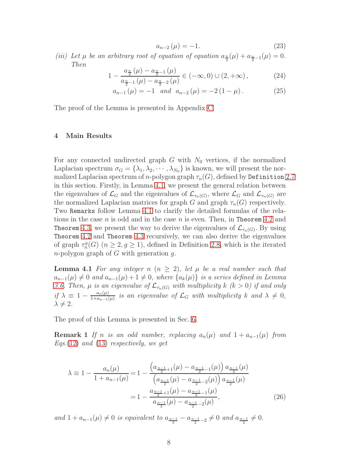<span id="page-7-3"></span>
$$
a_{n-2}\left(\mu\right) = -1.\tag{23}
$$

(iii) Let  $\mu$  be an arbitrary root of equation of equation  $a_{\frac{n}{2}}(\mu) + a_{\frac{n}{2}-1}(\mu) = 0$ . Then

$$
1 - \frac{a_{\frac{n}{2}}(\mu) - a_{\frac{n}{2}-1}(\mu)}{a_{\frac{n}{2}-1}(\mu) - a_{\frac{n}{2}-2}(\mu)} \in (-\infty, 0) \cup (2, +\infty), \tag{24}
$$

<span id="page-7-2"></span>
$$
a_{n-1}(\mu) = -1 \quad and \quad a_{n-2}(\mu) = -2(1-\mu). \tag{25}
$$

<span id="page-7-0"></span>The proof of the Lemma is presented in Appendix [C.](#page-41-0)

### 4 Main Results

For any connected undirected graph  $G$  with  $N_0$  vertices, if the normalized Laplacian spectrum  $\sigma_G = {\lambda_1, \lambda_2, \cdots, \lambda_{N_0}}$  is known, we will present the normalized Laplacian spectrum of *n*-polygon graph  $\tau_n(G)$ , defined by Definition [2.7](#page-3-1) in this section. Firstly, in Lemma [4.1,](#page-7-1) we present the general relation between the eigenvalues of  $\mathcal{L}_G$  and the eigenvalues of  $\mathcal{L}_{\tau_n(G)}$ , where  $\mathcal{L}_G$  and  $\mathcal{L}_{\tau_n(G)}$  are the normalized Laplacian matrices for graph G and graph  $\tau_n(G)$  respectively. Two Remarks follow Lemma [4.1](#page-7-1) to clarify the detailed formulas of the relations in the case  $n$  is odd and in the case  $n$  is even. Then, in Theorem [4.2](#page-8-0) and Theorem [4.3,](#page-8-1) we present the way to derive the eigenvalues of  $\mathcal{L}_{\tau_n(G)}$ . By using Theorem [4.2](#page-8-0) and Theorem [4.3](#page-8-1) recursively, we can also derive the eigenvalues of graph  $\tau_n^g(G)$   $(n \geq 2, g \geq 1)$ , defined in Definition [2.8,](#page-3-2) which is the iterated  $n$ -polygon graph of G with generation  $g$ .

<span id="page-7-1"></span>**Lemma 4.1** For any integer n  $(n > 2)$ , let  $\mu$  be a real number such that  $a_{n-1}(\mu) \neq 0$  and  $a_{n-1}(\mu) + 1 \neq 0$ , where  $\{a_k(\mu)\}\$ is a series defined in Lemma [3.6.](#page-5-0) Then,  $\mu$  is an eigenvalue of  $\mathcal{L}_{\tau_n(G)}$  with multiplicity  $k \ (k > 0)$  if and only if  $\lambda \equiv 1 - \frac{a_n(\mu)}{1 + a_{n-1}(\mu)}$  $\frac{a_n(\mu)}{1+a_{n-1}(\mu)}$  is an eigenvalue of  $\mathcal{L}_G$  with multiplicity k and  $\lambda \neq 0$ ,  $\lambda \neq 2$ .

The proof of this Lemma is presented in Sec. [6.](#page-10-0)

**Remark 1** If n is an odd number, replacing  $a_n(\mu)$  and  $1 + a_{n-1}(\mu)$  from Eqs. [\(12\)](#page-5-1) and [\(13\)](#page-6-0) respectively, we get

$$
\lambda \equiv 1 - \frac{a_n(\mu)}{1 + a_{n-1}(\mu)} = 1 - \frac{\left(a_{\frac{n-1}{2}+1}(\mu) - a_{\frac{n-1}{2}-1}(\mu)\right)a_{\frac{n-1}{2}}(\mu)}{\left(a_{\frac{n-1}{2}}(\mu) - a_{\frac{n-1}{2}-2}(\mu)\right)a_{\frac{n-1}{2}}(\mu)}
$$

$$
= 1 - \frac{a_{\frac{n-1}{2}+1}(\mu) - a_{\frac{n-1}{2}-1}(\mu)}{a_{\frac{n-1}{2}}(\mu) - a_{\frac{n-1}{2}-2}(\mu)},\tag{26}
$$

and 1 + a<sub>n−1</sub>( $\mu$ ) ≠ 0 is equivalent to a<sub>n−1</sub> – a<sub>n−1</sub> – 2 ≠ 0 and a<sub>n−1</sub> ≠ 0.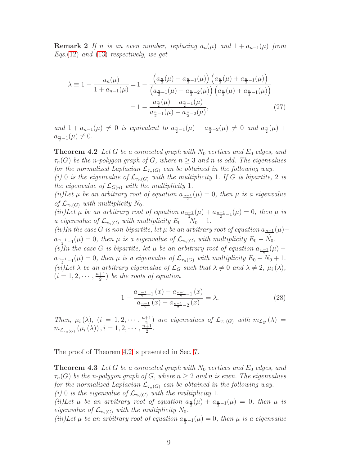**Remark 2** If n is an even number, replacing  $a_n(\mu)$  and  $1 + a_{n-1}(\mu)$  from Eqs.[\(12\)](#page-5-1) and [\(13\)](#page-6-0) respectively, we get

$$
\lambda \equiv 1 - \frac{a_n(\mu)}{1 + a_{n-1}(\mu)} = 1 - \frac{\left(a_{\frac{n}{2}}(\mu) - a_{\frac{n}{2}-1}(\mu)\right)\left(a_{\frac{n}{2}}(\mu) + a_{\frac{n}{2}-1}(\mu)\right)}{\left(a_{\frac{n}{2}-1}(\mu) - a_{\frac{n}{2}-2}(\mu)\right)\left(a_{\frac{n}{2}}(\mu) + a_{\frac{n}{2}-1}(\mu)\right)}
$$

$$
= 1 - \frac{a_{\frac{n}{2}}(\mu) - a_{\frac{n}{2}-1}(\mu)}{a_{\frac{n}{2}-1}(\mu) - a_{\frac{n}{2}-2}(\mu)},\tag{27}
$$

<span id="page-8-0"></span>and  $1 + a_{n-1}(\mu) \neq 0$  is equivalent to  $a_{\frac{n}{2}-1}(\mu) - a_{\frac{n}{2}-2}(\mu) \neq 0$  and  $a_{\frac{n}{2}}(\mu) + a_{\frac{n}{2}-1}(\mu)$  $a_{\frac{n}{2}-1}(\mu) \neq 0.$ 

**Theorem 4.2** Let G be a connected graph with  $N_0$  vertices and  $E_0$  edges, and  $\tau_n(G)$  be the n-polygon graph of G, where  $n \geq 3$  and n is odd. The eigenvalues for the normalized Laplacian  $\mathcal{L}_{\tau_n(G)}$  can be obtained in the following way.

(i) 0 is the eigenvalue of  $\mathcal{L}_{\tau_n(G)}$  with the multiplicity 1. If G is bipartite, 2 is the eigenvalue of  $\mathcal{L}_{G(n)}$  with the multiplicity 1.

(ii)Let  $\mu$  be an arbitrary root of equation  $a_{\frac{n-1}{2}}(\mu) = 0$ , then  $\mu$  is a eigenvalue of  $\mathcal{L}_{\tau_n(G)}$  with multiplicity  $N_0$ .

(iii)Let  $\mu$  be an arbitrary root of equation  $a_{\frac{n-1}{2}}(\mu) + a_{\frac{n-1}{2}-1}(\mu) = 0$ , then  $\mu$  is a eigenvalue of  $\mathcal{L}_{\tau_n(G)}$  with multiplicity  $E_0 - N_0 + 1$ .

 $(iv)$ In the case G is non-bipartite, let  $\mu$  be an arbitrary root of equation  $a_{\frac{n-1}{2}}(\mu)$  –  $a_{\frac{n-1}{2}-1}(\mu) = 0$ , then  $\mu$  is a eigenvalue of  $\mathcal{L}_{\tau_n(G)}$  with multiplicity  $E_0 - N_0$ .

(v)In the case G is bipartite, let  $\mu$  be an arbitrary root of equation  $a_{\frac{n-1}{2}}(\mu)$  –  $a_{\frac{n-1}{2}-1}(\mu) = 0$ , then  $\mu$  is a eigenvalue of  $\mathcal{L}_{\tau_n(G)}$  with multiplicity  $E_0 - N_0 + 1$ . (vi)Let  $\lambda$  be an arbitrary eigenvalue of  $\mathcal{L}_G$  such that  $\lambda \neq 0$  and  $\lambda \neq 2$ ,  $\mu_i(\lambda)$ ,  $(i = 1, 2, \cdots, \frac{n+1}{2})$  $\frac{+1}{2}$ ) be the roots of equation

$$
1 - \frac{a_{\frac{n-1}{2}+1}(x) - a_{\frac{n-1}{2}-1}(x)}{a_{\frac{n-1}{2}}(x) - a_{\frac{n-1}{2}-2}(x)} = \lambda.
$$
 (28)

Then,  $\mu_i(\lambda)$ ,  $(i = 1, 2, \cdots, \frac{n+1}{2}$  $\frac{1}{2}$  are eigenvalues of  $\mathcal{L}_{\tau_n(G)}$  with  $m_{\mathcal{L}_G}(\lambda) =$  $m_{\mathcal{L}_{\tau_n(G)}}\left(\mu_i\left(\lambda\right)\right), i=1,2,\cdots,\frac{n+1}{2}$  $\frac{+1}{2}$ .

<span id="page-8-1"></span>The proof of Theorem [4.2](#page-8-0) is presented in Sec. [7.](#page-14-0)

**Theorem 4.3** Let G be a connected graph with  $N_0$  vertices and  $E_0$  edges, and  $\tau_n(G)$  be the n-polygon graph of G, where  $n \geq 2$  and n is even. The eigenvalues for the normalized Laplacian  $\mathcal{L}_{\tau_n(G)}$  can be obtained in the following way.

(i) 0 is the eigenvalue of  $\mathcal{L}_{\tau_n(G)}$  with the multiplicity 1.

(ii)Let  $\mu$  be an arbitrary root of equation  $a_{\frac{n}{2}}(\mu) + a_{\frac{n}{2}-1}(\mu) = 0$ , then  $\mu$  is eigenvalue of  $\mathcal{L}_{\tau_n(G)}$  with the multiplicity  $N_0$ .

(iii)Let  $\mu$  be an arbitrary root of equation  $a_{\frac{n}{2}-1}(\mu) = 0$ , then  $\mu$  is a eigenvalue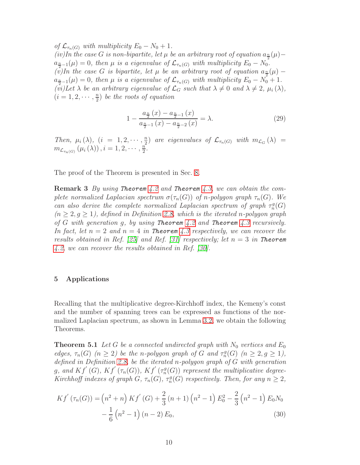of  $\mathcal{L}_{\tau_n(G)}$  with multiplicity  $E_0 - N_0 + 1$ . (iv)In the case G is non-bipartite, let  $\mu$  be an arbitrary root of equation  $a_{\frac{n}{2}}(\mu)$  –  $a_{\frac{n}{2}-1}(\mu)=0$ , then  $\mu$  is a eigenvalue of  $\mathcal{L}_{\tau_n(G)}$  with multiplicity  $E_0-N_0$ . (v)In the case G is bipartite, let  $\mu$  be an arbitrary root of equation  $a_{\frac{n}{2}}(\mu)$  –  $a_{\frac{n}{2}-1}(\mu) = 0$ , then  $\mu$  is a eigenvalue of  $\mathcal{L}_{\tau_n(G)}$  with multiplicity  $E_0 - N_0 + 1$ . (vi)Let  $\lambda$  be an arbitrary eigenvalue of  $\mathcal{L}_G$  such that  $\lambda \neq 0$  and  $\lambda \neq 2$ ,  $\mu_i(\lambda)$ ,  $(i = 1, 2, \cdots, \frac{n}{2})$  $\frac{n}{2}$ ) be the roots of equation

$$
1 - \frac{a_{\frac{n}{2}}(x) - a_{\frac{n}{2}-1}(x)}{a_{\frac{n}{2}-1}(x) - a_{\frac{n}{2}-2}(x)} = \lambda.
$$
 (29)

Then,  $\mu_i(\lambda)$ ,  $(i = 1, 2, \dots, \frac{n}{2})$  $\binom{n}{2}$  are eigenvalues of  $\mathcal{L}_{\tau_n(G)}$  with  $m_{\mathcal{L}_G}(\lambda) =$  $m_{\mathcal{L}_{\tau_n(G)}}\left(\mu_i\left(\lambda\right)\right), i=1,2,\cdots,\frac{n}{2}$  $\frac{n}{2}$ .

The proof of the Theorem is presented in Sec. [8.](#page-20-0)

**Remark 3** By using Theorem [4.2](#page-8-0) and Theorem [4.3,](#page-8-1) we can obtain the complete normalized Laplacian spectrum  $\sigma(\tau_n(G))$  of n-polygon graph  $\tau_n(G)$ . We can also derive the complete normalized Laplacian spectrum of graph  $\tau_n^g(G)$  $(n \geq 2, q \geq 1)$ , defined in Definition [2.8,](#page-3-2) which is the iterated n-polygon graph of G with generation g, by using Theorem [4.2](#page-8-0) and Theorem [4.3](#page-8-1) recursively. In fact, let  $n = 2$  and  $n = 4$  in Theorem [4.3](#page-8-1) respectively, we can recover the results obtained in Ref. [\[25\]](#page-35-4) and Ref. [\[31\]](#page-35-8) respectively; let  $n = 3$  in Theorem [4.2,](#page-8-0) we can recover the results obtained in Ref. [\[30\]](#page-35-7).

## <span id="page-9-0"></span>5 Applications

Recalling that the multiplicative degree-Kirchhoff index, the Kemeny's const and the number of spanning trees can be expressed as functions of the normalized Laplacian spectrum, as shown in Lemma [3.2,](#page-4-1) we obtain the following Theorems.

<span id="page-9-1"></span>**Theorem 5.1** Let G be a connected undirected graph with  $N_0$  vertices and  $E_0$ edges,  $\tau_n(G)$   $(n \geq 2)$  be the n-polygon graph of G and  $\tau_n^g(G)$   $(n \geq 2, g \geq 1)$ , defined in Definition [2.8,](#page-3-2) be the iterated n-polygon graph of G with generation g, and  $Kf^{'}(\mathcal{G}), Kf^{'}(\tau_n(G)), Kf^{'}(\tau_n^g(G))$  represent the multiplicative degree-Kirchhoff indexes of graph  $G$ ,  $\tau_n(G)$ ,  $\tau_n^g(G)$  respectively. Then, for any  $n \geq 2$ ,

<span id="page-9-2"></span>
$$
Kf'(\tau_n(G)) = (n^2 + n) Kf'(G) + \frac{2}{3}(n+1) (n^2 - 1) E_0^2 - \frac{2}{3}(n^2 - 1) E_0 N_0 - \frac{1}{6}(n^2 - 1) (n-2) E_0,
$$
\n(30)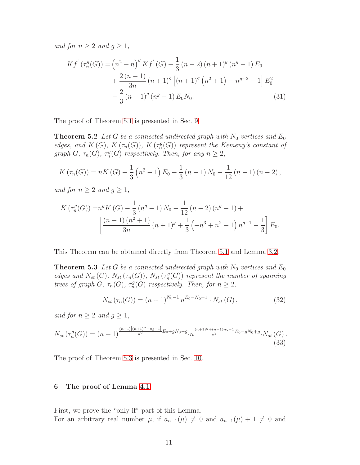and for  $n \geq 2$  and  $g \geq 1$ ,

<span id="page-10-2"></span>
$$
Kf'(\tau_n^g(G)) = (n^2 + n)^g Kf'(G) - \frac{1}{3}(n-2)(n+1)^g (n^g - 1) E_0
$$
  
+ 
$$
\frac{2 (n-1)}{3n} (n+1)^g [(n+1)^g (n^2 + 1) - n^{g+2} - 1] E_0^2
$$
  
- 
$$
\frac{2}{3} (n+1)^g (n^g - 1) E_0 N_0.
$$
 (31)

The proof of Theorem [5.1](#page-9-1) is presented in Sec. [9.](#page-26-0)

**Theorem 5.2** Let G be a connected undirected graph with  $N_0$  vertices and  $E_0$ edges, and  $K(G)$ ,  $K(\tau_n(G))$ ,  $K(\tau_n^g(G))$  represent the Kemeny's constant of graph  $G$ ,  $\tau_n(G)$ ,  $\tau_n^g(G)$  respectively. Then, for any  $n \geq 2$ ,

$$
K(\tau_n(G)) = nK(G) + \frac{1}{3}(n^2 - 1)E_0 - \frac{1}{3}(n - 1)N_0 - \frac{1}{12}(n - 1)(n - 2),
$$

and for  $n \geq 2$  and  $g \geq 1$ ,

$$
K\left(\tau_n^g(G)\right) = n^g K\left(G\right) - \frac{1}{3}\left(n^g - 1\right)N_0 - \frac{1}{12}\left(n-2\right)\left(n^g - 1\right) + \frac{\left[(n-1)\left(n^2+1\right)}{3n}\left(n+1\right)^g + \frac{1}{3}\left(-n^3 + n^2 + 1\right)n^{g-1} - \frac{1}{3}\right]E_0.
$$

This Theorem can be obtained directly from Theorem [5.1](#page-9-1) and Lemma [3.2.](#page-4-1)

**Theorem 5.3** Let G be a connected undirected graph with  $N_0$  vertices and  $E_0$ edges and  $N_{st}(G)$ ,  $N_{st}(\tau_n(G))$ ,  $N_{st}(\tau_n(G))$  represent the number of spanning trees of graph  $G$ ,  $\tau_n(G)$ ,  $\tau_n^g(G)$  respectively. Then, for  $n \geq 2$ ,

<span id="page-10-3"></span><span id="page-10-1"></span>
$$
N_{st}(\tau_n(G)) = (n+1)^{N_0-1} n^{E_0-N_0+1} \cdot N_{st}(G), \qquad (32)
$$

and for  $n \geq 2$  and  $g \geq 1$ ,

<span id="page-10-4"></span>
$$
N_{st}\left(\tau_n^g(G)\right) = (n+1)^{\frac{(n-1)\left[(n+1)^g - ng - 1\right]}{n^2}E_0 + gN_0 - g} \cdot n^{\frac{(n+1)^g + (n-1)ng - 1}{n^2}E_0 - gN_0 + g} \cdot N_{st}\left(G\right). \tag{33}
$$

<span id="page-10-0"></span>The proof of Theorem [5.3](#page-10-1) is presented in Sec. [10.](#page-30-0)

#### 6 The proof of Lemma [4.1](#page-7-1)

First, we prove the "only if" part of this Lemma. For an arbitrary real number  $\mu$ , if  $a_{n-1}(\mu) \neq 0$  and  $a_{n-1}(\mu) + 1 \neq 0$  and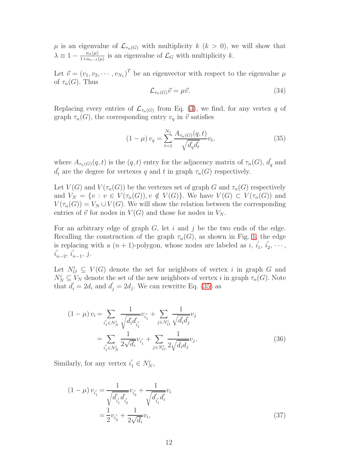$\mu$  is an eigenvalue of  $\mathcal{L}_{\tau_n(G)}$  with multiplicity  $k$  ( $k > 0$ ), we will show that  $\lambda \equiv 1 - \frac{a_n(\mu)}{1 + a_{n-1}(\mu)}$  $\frac{a_n(\mu)}{1+a_{n-1}(\mu)}$  is an eigenvalue of  $\mathcal{L}_G$  with multiplicity k.

Let  $\vec{v} = (v_1, v_2, \cdots, v_{N_1})^T$  be an eigenvector with respect to the eigenvalue  $\mu$ of  $\tau_n(G)$ . Thus

<span id="page-11-3"></span>
$$
\mathcal{L}_{\tau_n(G)}\vec{v} = \mu \vec{v}.\tag{34}
$$

Replacing every entries of  $\mathcal{L}_{\tau_n(G)}$  from Eq. [\(3\)](#page-2-1), we find, for any vertex q of graph  $\tau_n(G)$ , the corresponding entry  $v_q$  in  $\vec{v}$  satisfies

<span id="page-11-0"></span>
$$
(1 - \mu) v_q = \sum_{t=1}^{N_1} \frac{A_{\tau_n(G)}(q, t)}{\sqrt{d'_q d'_t}} v_t,
$$
\n(35)

where  $A_{\tau_n(G)}(q,t)$  is the  $(q,t)$  entry for the adjacency matrix of  $\tau_n(G)$ ,  $d'$  $q \text{ and}$  $d'_{t}$ the degree for vertexes q and t in graph  $\tau_n(G)$  respectively.

Let  $V(G)$  and  $V(\tau_n(G))$  be the vertexes set of graph G and  $\tau_n(G)$  respectively and  $V_N = \{v : v \in V(\tau_n(G)), v \notin V(G)\}$ . We have  $V(G) \subset V(\tau_n(G))$  and  $V(\tau_n(G)) = V_N \cup V(G)$ . We will show the relation between the corresponding entries of  $\vec{v}$  for nodes in  $V(G)$  and those for nodes in  $V_N$ .

For an arbitrary edge of graph  $G$ , let i and j be the two ends of the edge. Recalling the construction of the graph  $\tau_n(G)$ , as shown in Fig. [1,](#page-3-0) the edge is replacing with a  $(n + 1)$ -polygon, whose nodes are labeled as i, i.  $\frac{i}{1}, i'_{2}$  $\frac{1}{2}, \cdots,$  $i_1'$  $\sum_{n=2}^{\infty} i'_n$  $n-1, j.$ 

Let  $N_O^i \subseteq V(G)$  denote the set for neighbors of vertex i in graph G and  $N_N^i \subseteq V_N$  denote the set of the new neighbors of vertex i in graph  $\tau_n(G)$ . Note that  $d_i = 2d_i$  and  $d_j = 2d_j$ . We can rewritte Eq. [\(35\)](#page-11-0) as

<span id="page-11-2"></span>
$$
(1 - \mu) v_i = \sum_{i'_1 \in N_N^i} \frac{1}{\sqrt{d'_i d'_{i'_1}}} v_{i'_1} + \sum_{j \in N_O^i} \frac{1}{\sqrt{d'_i d'_j}} v_j
$$
  
= 
$$
\sum_{i'_1 \in N_N^i} \frac{1}{2\sqrt{d_i}} v_{i'_1} + \sum_{j \in N_O^i} \frac{1}{2\sqrt{d_i d_j}} v_j.
$$
 (36)

Similarly, for any vertex  $i'_1 \in N_N^i$ ,

<span id="page-11-1"></span>
$$
(1 - \mu) v_{i'_1} = \frac{1}{\sqrt{d'_{i'_1} d'_{i'_2}}} v_{i'_2} + \frac{1}{\sqrt{d'_{i'_1} d'_i}} v_i
$$

$$
= \frac{1}{2} v_{i'_2} + \frac{1}{2\sqrt{d_i}} v_i,
$$
(37)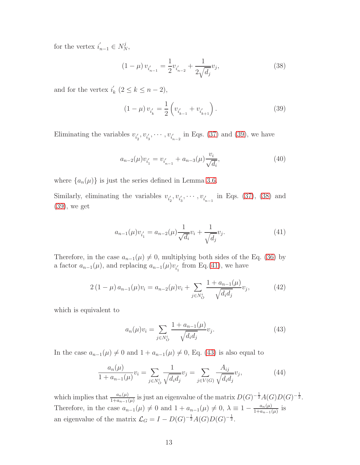for the vertex  $i'_{n-1} \in N_N^j$ ,

<span id="page-12-1"></span>
$$
(1 - \mu) v_{i_{n-1}'} = \frac{1}{2} v_{i_{n-2}'} + \frac{1}{2\sqrt{d_j}} v_j,
$$
\n(38)

and for the vertex  $i'_i$  $k \ (2 \leq k \leq n-2),$ 

<span id="page-12-0"></span>
$$
(1 - \mu) v_{i'_k} = \frac{1}{2} \left( v_{i'_{k-1}} + v_{i'_{k+1}} \right).
$$
 (39)

Eliminating the variables  $v_{i}'$  $'_{2}$ ,  $v_{i'_{3}}$  $v_{i_3}, \dots, v_{i_{n-2}}$  in Eqs. [\(37\)](#page-11-1) and [\(39\)](#page-12-0), we have

<span id="page-12-6"></span>
$$
a_{n-2}(\mu)v_{i'_1} = v_{i'_{n-1}} + a_{n-3}(\mu)\frac{v_i}{\sqrt{d_i}},
$$
\n(40)

where  $\{a_n(\mu)\}\$ is just the series defined in Lemma [3.6.](#page-5-0)

Similarly, eliminating the variables  $v_{i'_i}$  $v'_{i_3'}$  $v_{i_3}, \cdots, v_{i_{n-1}}$  in Eqs. [\(37\)](#page-11-1), [\(38\)](#page-12-1) and [\(39\)](#page-12-0), we get

<span id="page-12-2"></span>
$$
a_{n-1}(\mu)v_{i'_1} = a_{n-2}(\mu)\frac{1}{\sqrt{d_i}}v_i + \frac{1}{\sqrt{d_j}}v_j.
$$
\n(41)

Therefore, in the case  $a_{n-1}(\mu) \neq 0$ , multiplying both sides of the Eq. [\(36\)](#page-11-2) by a factor  $a_{n-1}(\mu)$ , and replacing  $a_{n-1}(\mu)v_{i'_1}$  $\sum_{1}$  from Eq.[\(41\)](#page-12-2), we have

<span id="page-12-5"></span>
$$
2\left(1-\mu\right)a_{n-1}(\mu)v_i = a_{n-2}(\mu)v_i + \sum_{j \in N_O^i} \frac{1 + a_{n-1}(\mu)}{\sqrt{d_i d_j}} v_j, \tag{42}
$$

which is equivalent to

<span id="page-12-3"></span>
$$
a_n(\mu)v_i = \sum_{j \in N_O^i} \frac{1 + a_{n-1}(\mu)}{\sqrt{d_i d_j}} v_j.
$$
 (43)

In the case  $a_{n-1}(\mu) \neq 0$  and  $1 + a_{n-1}(\mu) \neq 0$ , Eq. [\(43\)](#page-12-3) is also equal to

<span id="page-12-4"></span>
$$
\frac{a_n(\mu)}{1 + a_{n-1}(\mu)} v_i = \sum_{j \in N_O^i} \frac{1}{\sqrt{d_i d_j}} v_j = \sum_{j \in V(G)} \frac{A_{ij}}{\sqrt{d_i d_j}} v_j,
$$
(44)

which implies that  $\frac{a_n(\mu)}{1+a_{n-1}(\mu)}$  is just an eigenvalue of the matrix  $D(G)^{-\frac{1}{2}}A(G)D(G)^{-\frac{1}{2}}$ . Therefore, in the case  $a_{n-1}(\mu) \neq 0$  and  $1 + a_{n-1}(\mu) \neq 0$ ,  $\lambda \equiv 1 - \frac{a_n(\mu)}{1 + a_{n-1}(\mu)}$  $\frac{a_n(\mu)}{1+a_{n-1}(\mu)}$  is an eigenvalue of the matrix  $\mathcal{L}_G = I - D(G)^{-\frac{1}{2}}A(G)D(G)^{-\frac{1}{2}}.$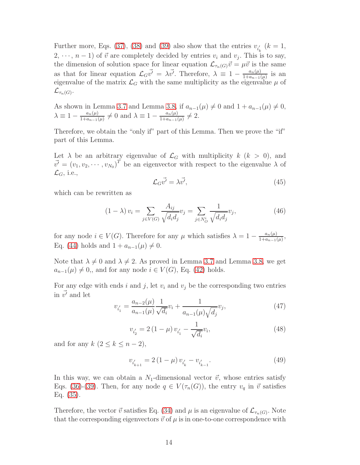Further more, Eqs. [\(37\)](#page-11-1), [\(38\)](#page-12-1) and [\(39\)](#page-12-0) also show that the entries  $v_{i'_i}$  $\binom{k}{k} = 1$ ,  $(2, \dots, n-1)$  of  $\vec{v}$  are completely decided by entries  $v_i$  and  $v_j$ . This is to say, the dimension of solution space for linear equation  $\mathcal{L}_{\tau_n(G)}\vec{v} = \mu\vec{v}$  is the same as that for linear equation  $\mathcal{L}_G\vec{v'} = \lambda \vec{v'}$ . Therefore,  $\lambda \equiv 1 - \frac{a_n(\mu)}{1 + a_{n-1}(\mu)}$  $\frac{a_n(\mu)}{1+a_{n-1}(\mu)}$  is an eigenvalue of the matrix  $\mathcal{L}_G$  with the same multiplicity as the eigenvalue  $\mu$  of  ${\mathcal L}_{\tau_n(G)}.$ 

As shown in Lemma [3.7](#page-6-1) and Lemma [3.8,](#page-6-2) if  $a_{n-1}(\mu) \neq 0$  and  $1 + a_{n-1}(\mu) \neq 0$ ,  $\lambda \equiv 1 - \frac{a_n(\mu)}{1 + a_{n-1}(\mu)}$  $\frac{a_n(\mu)}{1+a_{n-1}(\mu)} \neq 0$  and  $\lambda \equiv 1 - \frac{a_n(\mu)}{1+a_{n-1}(\mu)}$  $\frac{a_n(\mu)}{1+a_{n-1}(\mu)} \neq 2.$ 

Therefore, we obtain the "only if" part of this Lemma. Then we prove the "if" part of this Lemma.

Let  $\lambda$  be an arbitrary eigenvalue of  $\mathcal{L}_G$  with multiplicity  $k$  ( $k > 0$ ), and  $\vec{v'} = (v_1, v_2, \cdots, v_{N_0})^T$  be an eigenvector with respect to the eigenvalue  $\lambda$  of  $\mathcal{L}_G$ , i.e.,

$$
\mathcal{L}_G \vec{v'} = \lambda \vec{v'},\tag{45}
$$

which can be rewritten as

$$
(1 - \lambda) v_i = \sum_{j \in V(G)} \frac{A_{ij}}{\sqrt{d_i d_j}} v_j = \sum_{j \in N_O^i} \frac{1}{\sqrt{d_i d_j}} v_j,
$$
(46)

for any node  $i \in V(G)$ . Therefore for any  $\mu$  which satisfies  $\lambda = 1 - \frac{a_n(\mu)}{1 + a_{n-1}(\mu)}$  $\frac{a_n(\mu)}{1+a_{n-1}(\mu)},$ Eq. [\(44\)](#page-12-4) holds and  $1 + a_{n-1}(\mu) \neq 0$ .

Note that  $\lambda \neq 0$  and  $\lambda \neq 2$ . As proved in Lemma [3.7](#page-6-1) and Lemma [3.8,](#page-6-2) we get  $a_{n-1}(\mu) \neq 0$ , and for any node  $i \in V(G)$ , Eq. [\(42\)](#page-12-5) holds.

For any edge with ends i and j, let  $v_i$  and  $v_j$  be the corresponding two entries in  $\vec{v'}$  and let

<span id="page-13-0"></span>
$$
v_{i_1'} = \frac{a_{n-2}(\mu)}{a_{n-1}(\mu)} \frac{1}{\sqrt{d_i}} v_i + \frac{1}{a_{n-1}(\mu)\sqrt{d_j}} v_j,
$$
(47)

<span id="page-13-1"></span>
$$
v_{i_2'} = 2\left(1 - \mu\right)v_{i_1'} - \frac{1}{\sqrt{d_i}}v_i,\tag{48}
$$

and for any  $k$   $(2 \leq k \leq n-2)$ ,

<span id="page-13-2"></span>
$$
v_{i_{k+1}^{\prime}}=2\left(1-\mu\right)v_{i_{k}^{\prime}}-v_{i_{k-1}^{\prime}}.\tag{49}
$$

In this way, we can obtain a  $N_1$ -dimensional vector  $\vec{v}$ , whose entries satisfy Eqs. [\(36\)](#page-11-2)-[\(39\)](#page-12-0). Then, for any node  $q \in V(\tau_n(G))$ , the entry  $v_q$  in  $\vec{v}$  satisfies Eq. [\(35\)](#page-11-0).

Therefore, the vector  $\vec{v}$  satisfies Eq. [\(34\)](#page-11-3) and  $\mu$  is an eigenvalue of  $\mathcal{L}_{\tau_n(G)}$ . Note that the corresponding eigenvectors  $\vec{v}$  of  $\mu$  is in one-to-one correspondence with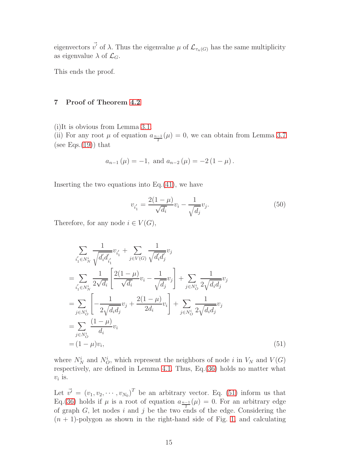eigenvectors  $\vec{v'}$  of  $\lambda$ . Thus the eigenvalue  $\mu$  of  $\mathcal{L}_{\tau_n(G)}$  has the same multiplicity as eigenvalue  $\lambda$  of  $\mathcal{L}_G$ .

<span id="page-14-0"></span>This ends the proof.

#### 7 Proof of Theorem [4.2](#page-8-0)

(i)It is obvious from Lemma [3.1.](#page-4-2)

(ii) For any root  $\mu$  of equation  $a_{\frac{n-1}{2}}(\mu) = 0$ , we can obtain from Lemma [3.7](#page-6-1) (see Eqs. $(19)$ ) that

$$
a_{n-1}(\mu) = -1
$$
, and  $a_{n-2}(\mu) = -2(1 - \mu)$ .

Inserting the two equations into  $Eq.(41)$  $Eq.(41)$ , we have

$$
v_{i_1'} = \frac{2(1-\mu)}{\sqrt{d_i}} v_i - \frac{1}{\sqrt{d_j}} v_j.
$$
\n(50)

Therefore, for any node  $i \in V(G)$ ,

<span id="page-14-1"></span>
$$
\sum_{i'_1 \in N_N^i} \frac{1}{\sqrt{d'_i d'_{i'_1}}} v_{i'_1} + \sum_{j \in V(G)} \frac{1}{\sqrt{d'_i d'_j}} v_j
$$
\n
$$
= \sum_{i'_1 \in N_N^i} \frac{1}{2\sqrt{d_i}} \left[ \frac{2(1-\mu)}{\sqrt{d_i}} v_i - \frac{1}{\sqrt{d_j}} v_j \right] + \sum_{j \in N_O^i} \frac{1}{2\sqrt{d_i d_j}} v_j
$$
\n
$$
= \sum_{j \in N_O^i} \left[ -\frac{1}{2\sqrt{d_i d_j}} v_j + \frac{2(1-\mu)}{2d_i} v_i \right] + \sum_{j \in N_O^i} \frac{1}{2\sqrt{d_i d_j}} v_j
$$
\n
$$
= \sum_{j \in N_O^i} \frac{(1-\mu)}{d_i} v_i
$$
\n
$$
= (1-\mu)v_i,
$$
\n(51)

where  $N_N^i$  and  $N_O^i$ , which represent the neighbors of node i in  $V_N$  and  $V(G)$ respectively, are defined in Lemma [4.1.](#page-7-1) Thus, Eq.[\(36\)](#page-11-2) holds no matter what  $v_i$  is.

Let  $\vec{v'} = (v_1, v_2, \cdots, v_{N_0})^T$  be an arbitrary vector. Eq. [\(51\)](#page-14-1) inform us that Eq.[\(36\)](#page-11-2) holds if  $\mu$  is a root of equation  $a_{\frac{n-1}{2}}(\mu) = 0$ . For an arbitrary edge of graph  $G$ , let nodes i and j be the two ends of the edge. Considering the  $(n + 1)$ -polygon as shown in the right-hand side of Fig. [1,](#page-3-0) and calculating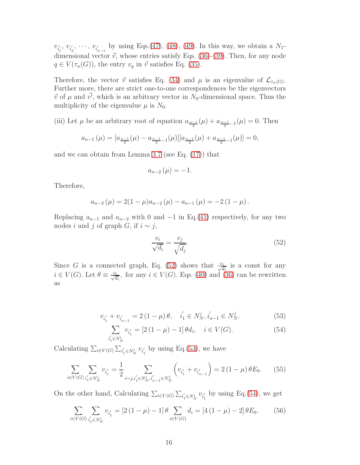$v_{i_1'}$  $v_{i'_2}$  $v_2', \dots, v_{i_{n-1}'}$  by using Eqs.[\(47\)](#page-13-0), [\(48\)](#page-13-1), [\(49\)](#page-13-2). In this way, we obtain a  $N_1$ dimensional vector  $\vec{v}$ , whose entries satisfy Eqs. [\(36\)](#page-11-2)-[\(39\)](#page-12-0). Then, for any node  $q \in V(\tau_n(G))$ , the entry  $v_q$  in  $\vec{v}$  satisfies Eq. [\(35\)](#page-11-0).

Therefore, the vector  $\vec{v}$  satisfies Eq. [\(34\)](#page-11-3) and  $\mu$  is an eigenvalue of  $\mathcal{L}_{\tau_n(G)}$ . Further more, there are strict one-to-one correspondences be the eigenvectors  $\vec{v}$  of  $\mu$  and  $\vec{v'}$ , which is an arbitrary vector in N<sub>0</sub>-dimensional space. Thus the multiplicity of the eigenvalue  $\mu$  is  $N_0$ .

(iii) Let  $\mu$  be an arbitrary root of equation  $a_{\frac{n-1}{2}}(\mu) + a_{\frac{n-1}{2}-1}(\mu) = 0$ . Then

$$
a_{n-1}(\mu) = [a_{\frac{n-1}{2}}(\mu) - a_{\frac{n-1}{2}-1}(\mu)][a_{\frac{n-1}{2}}(\mu) + a_{\frac{n-1}{2}-1}(\mu)] = 0,
$$

and we can obtain from Lemma [3.7](#page-6-1) (see Eq. [\(17\)](#page-6-4)) that

$$
a_{n-2}\left(\mu\right)=-1.
$$

Therefore,

$$
a_{n-3}(\mu) = 2(1 - \mu)a_{n-2}(\mu) - a_{n-1}(\mu) = -2(1 - \mu).
$$

Replacing  $a_{n-1}$  and  $a_{n-2}$  with 0 and  $-1$  in Eq.[\(41\)](#page-12-2) respectively, for any two nodes *i* and *j* of graph *G*, if  $i \sim j$ ,

<span id="page-15-0"></span>
$$
\frac{v_i}{\sqrt{d_i}} = \frac{v_j}{\sqrt{d_j}}.\tag{52}
$$

Since G is a connected graph, Eq. [\(52\)](#page-15-0) shows that  $\frac{v_i}{\sqrt{d_i}}$  is a const for any  $i \in V(G)$ . Let  $\theta \equiv \frac{v_i}{\sqrt{d_i}}$ , for any  $i \in V(G)$ . Eqs. [\(40\)](#page-12-6) and [\(36\)](#page-11-2) can be rewritten as

<span id="page-15-1"></span>
$$
v_{i_1'} + v_{i_{n-1}'} = 2(1 - \mu)\theta, \quad i_1' \in N_N^i, i_{n-1}' \in N_N^j. \tag{53}
$$

<span id="page-15-2"></span>
$$
\sum_{i'_1 \in N_N^i} v_{i'_1} = [2(1 - \mu) - 1] \theta d_i, \quad i \in V(G).
$$
 (54)

Calculating  $\sum_{i \in V(G)} \sum_{i'_1 \in N_N^i} v_{i'_1}$  $\frac{1}{1}$  by using Eq.[\(53\)](#page-15-1), we have

$$
\sum_{i \in V(G)} \sum_{i'_1 \in N_N^i} v_{i'_1} = \frac{1}{2} \sum_{i \sim j, i'_1 \in N_N^i, i'_{n-1} \in N_N^j} \left( v_{i'_1} + v_{i'_{n-1}} \right) = 2 \left( 1 - \mu \right) \theta E_0. \tag{55}
$$

On the other hand, Calculating  $\sum_{i \in V(G)} \sum_{i'_1 \in N_N^i} v_{i'_1}$  $\frac{1}{1}$  by using Eq.[\(54\)](#page-15-2), we get

$$
\sum_{i \in V(G)} \sum_{i'_1 \in N_N^i} v_{i'_1} = [2(1 - \mu) - 1] \theta \sum_{i \in V(G)} d_i = [4(1 - \mu) - 2] \theta E_0.
$$
 (56)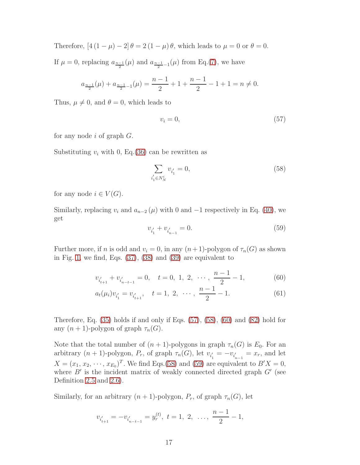Therefore,  $[4(1-\mu)-2]\theta=2(1-\mu)\theta$ , which leads to  $\mu=0$  or  $\theta=0$ .

If  $\mu = 0$ , replacing  $a_{\frac{n-1}{2}}(\mu)$  and  $a_{\frac{n-1}{2}-1}(\mu)$  from Eq.[\(7\)](#page-5-2), we have

$$
a_{\frac{n-1}{2}}(\mu) + a_{\frac{n-1}{2}-1}(\mu) = \frac{n-1}{2} + 1 + \frac{n-1}{2} - 1 + 1 = n \neq 0.
$$

Thus,  $\mu \neq 0$ , and  $\theta = 0$ , which leads to

<span id="page-16-0"></span>
$$
v_i = 0,\t\t(57)
$$

for any node i of graph  $G$ .

Substituting  $v_i$  with 0, Eq. [\(36\)](#page-11-2) can be rewritten as

<span id="page-16-1"></span>
$$
\sum_{i'_1 \in N_N^i} v_{i'_1} = 0,\tag{58}
$$

for any node  $i \in V(G)$ .

Similarly, replacing  $v_i$  and  $a_{n-2}(\mu)$  with 0 and  $-1$  respectively in Eq. [\(40\)](#page-12-6), we get

<span id="page-16-3"></span><span id="page-16-2"></span>
$$
v_{i'_1} + v_{i'_{n-1}} = 0.\t\t(59)
$$

Further more, if n is odd and  $v_i = 0$ , in any  $(n+1)$ -polygon of  $\tau_n(G)$  as shown in Fig. [1,](#page-3-0) we find, Eqs. [\(37\)](#page-11-1), [\(38\)](#page-12-1) and [\(39\)](#page-12-0) are equivalent to

$$
v_{i'_{t+1}} + v_{i'_{n-t-1}} = 0, \quad t = 0, 1, 2, \cdots, \frac{n-1}{2} - 1,
$$
 (60)

$$
a_t(\mu_i)v_{i'_1} = v_{i'_{t+1}}, \quad t = 1, 2, \cdots, \frac{n-1}{2} - 1. \tag{61}
$$

Therefore, Eq. [\(35\)](#page-11-0) holds if and only if Eqs. [\(57\)](#page-16-0), [\(58\)](#page-16-1), [\(60\)](#page-16-2) and [\(82\)](#page-22-0) hold for any  $(n + 1)$ -polygon of graph  $\tau_n(G)$ .

Note that the total number of  $(n + 1)$ -polygons in graph  $\tau_n(G)$  is  $E_0$ . For an arbitrary  $(n + 1)$ -polygon,  $P_r$ , of graph  $\tau_n(G)$ , let  $v_{i'_1}$  $y_1 = -v_{i_{n-1}'} = x_r$ , and let  $X = (x_1, x_2, \dots, x_{E_0})^T$ . We find Eqs.[\(58\)](#page-16-1) and [\(59\)](#page-16-3) are equivalent to  $B'X = 0$ , where  $B'$  is the incident matrix of weakly connected directed graph  $G'$  (see Definition [2.5](#page-3-3) and [2.6\)](#page-3-4).

Similarly, for an arbitrary  $(n + 1)$ -polygon,  $P_r$ , of graph  $\tau_n(G)$ , let

$$
v_{i'_{t+1}} = -v_{i'_{n-t-1}} = y_r^{(t)}, \ t = 1, 2, \ \ldots, \ \frac{n-1}{2} - 1,
$$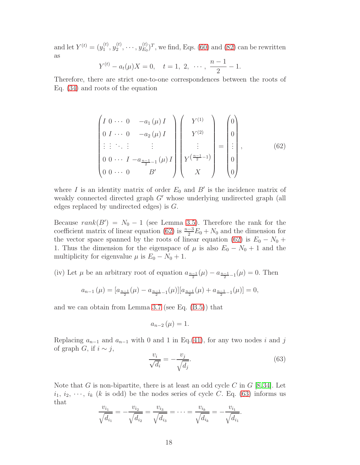and let  $Y^{(t)} = (y_1^{(t)}$  $\stackrel{(t)}{1}, \stackrel{(t)}{y_2^{(t)}}$  $y_2^{(t)}, \cdots, y_{E_0}^{(t)}$  $(E_D^{(t)})^T$ , we find, Eqs. [\(60\)](#page-16-2) and [\(82\)](#page-22-0) can be rewritten as

$$
Y^{(t)} - a_t(\mu)X = 0, \quad t = 1, 2, \cdots, \frac{n-1}{2} - 1.
$$

Therefore, there are strict one-to-one correspondences between the roots of Eq. [\(34\)](#page-11-3) and roots of the equation

<span id="page-17-0"></span>
$$
\begin{pmatrix}\nI & 0 & \cdots & 0 & -a_1(\mu)I \\
0 & I & \cdots & 0 & -a_2(\mu)I \\
\vdots & \vdots & \ddots & \vdots & \vdots \\
0 & 0 & \cdots & I & -a_{\frac{n-1}{2}-1}(\mu)I \\
0 & 0 & \cdots & 0 & B'\n\end{pmatrix}\n\begin{pmatrix}\nY^{(1)} \\
Y^{(2)} \\
\vdots \\
Y^{(\frac{n-1}{2}-1)} \\
X\n\end{pmatrix}\n=\n\begin{pmatrix}\n0 \\
0 \\
\vdots \\
0 \\
0\n\end{pmatrix},
$$
\n(62)

where I is an identity matrix of order  $E_0$  and  $B'$  is the incidence matrix of weakly connected directed graph G' whose underlying undirected graph (all edges replaced by undirected edges) is G.

Because  $rank(B') = N_0 - 1$  (see Lemma [3.5\)](#page-5-3). Therefore the rank for the coefficient matrix of linear equation [\(62\)](#page-17-0) is  $\frac{n-3}{2}E_0 + N_0$  and the dimension for the vector space spanned by the roots of linear equation [\(62\)](#page-17-0) is  $E_0 - N_0 +$ 1. Thus the dimension for the eigenspace of  $\mu$  is also  $E_0 - N_0 + 1$  and the multiplicity for eigenvalue  $\mu$  is  $E_0 - N_0 + 1$ .

(iv) Let  $\mu$  be an arbitrary root of equation  $a_{\frac{n-1}{2}}(\mu) - a_{\frac{n-1}{2}-1}(\mu) = 0$ . Then

$$
a_{n-1}(\mu) = [a_{\frac{n-1}{2}}(\mu) - a_{\frac{n-1}{2}-1}(\mu)][a_{\frac{n-1}{2}}(\mu) + a_{\frac{n-1}{2}-1}(\mu)] = 0,
$$

and we can obtain from Lemma [3.7](#page-6-1) (see Eq. [\(B.5\)](#page-39-1)) that

$$
a_{n-2}\left(\mu\right)=1.
$$

Replacing  $a_{n-1}$  and  $a_{n-1}$  with 0 and 1 in Eq.[\(41\)](#page-12-2), for any two nodes i and j of graph G, if  $i \sim j$ ,

<span id="page-17-1"></span>
$$
\frac{v_i}{\sqrt{d_i}} = -\frac{v_j}{\sqrt{d_j}}.\tag{63}
$$

Note that G is non-bipartite, there is at least an odd cycle C in  $G$  [\[8,](#page-34-4)[34\]](#page-35-11). Let  $i_1, i_2, \dots, i_k$  (k is odd) be the nodes series of cycle C. Eq. [\(63\)](#page-17-1) informs us that

$$
\frac{v_{i_1}}{\sqrt{d_{i_1}}} = -\frac{v_{i_2}}{\sqrt{d_{i_2}}} = \frac{v_{i_3}}{\sqrt{d_{i_3}}} = \cdots = \frac{v_{i_k}}{\sqrt{d_{i_k}}} = -\frac{v_{i_1}}{\sqrt{d_{i_1}}}.
$$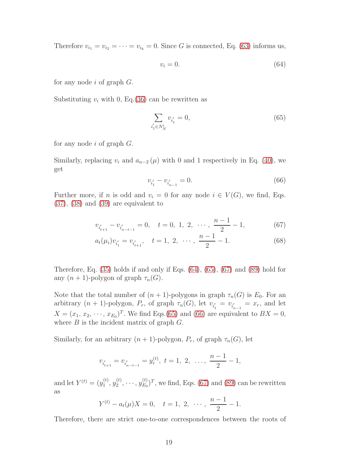Therefore  $v_{i_1} = v_{i_2} = \cdots = v_{i_k} = 0$ . Since G is connected, Eq. [\(63\)](#page-17-1) informs us,

<span id="page-18-0"></span>
$$
v_i = 0.\t\t(64)
$$

for any node  $i$  of graph  $G$ .

Substituting  $v_i$  with 0, Eq.[\(36\)](#page-11-2) can be rewritten as

<span id="page-18-1"></span>
$$
\sum_{i_1' \in N_N^i} v_{i_1'} = 0,\tag{65}
$$

for any node  $i$  of graph  $G$ .

Similarly, replacing  $v_i$  and  $a_{n-2}(\mu)$  with 0 and 1 respectively in Eq. [\(40\)](#page-12-6), we get

<span id="page-18-3"></span><span id="page-18-2"></span>
$$
v_{i_1'} - v_{i_{n-1}'} = 0.\t\t(66)
$$

Further more, if n is odd and  $v_i = 0$  for any node  $i \in V(G)$ , we find, Eqs. [\(37\)](#page-11-1), [\(38\)](#page-12-1) and [\(39\)](#page-12-0) are equivalent to

$$
v_{i'_{t+1}} - v_{i'_{n-t-1}} = 0, \quad t = 0, 1, 2, \cdots, \frac{n-1}{2} - 1,\tag{67}
$$

$$
a_t(\mu_i)v_{i'_1} = v_{i'_{t+1}}, \quad t = 1, 2, \cdots, \frac{n-1}{2} - 1.
$$
 (68)

Therefore, Eq. [\(35\)](#page-11-0) holds if and only if Eqs. [\(64\)](#page-18-0), [\(65\)](#page-18-1), [\(67\)](#page-18-2) and [\(89\)](#page-24-0) hold for any  $(n + 1)$ -polygon of graph  $\tau_n(G)$ .

Note that the total number of  $(n + 1)$ -polygons in graph  $\tau_n(G)$  is  $E_0$ . For an arbitrary  $(n + 1)$ -polygon,  $P_r$ , of graph  $\tau_n(G)$ , let  $v_{i_1}$  $v_{i_{n-1}}' = x_r$ , and let  $X = (x_1, x_2, \dots, x_{E_0})^T$ . We find Eqs.[\(65\)](#page-18-1) and [\(66\)](#page-18-3) are equivalent to  $BX = 0$ , where  $B$  is the incident matrix of graph  $G$ .

Similarly, for an arbitrary  $(n + 1)$ -polygon,  $P_r$ , of graph  $\tau_n(G)$ , let

$$
v_{i'_{t+1}} = v_{i'_{n-t-1}} = y_r^{(t)}, \ t = 1, 2, \ \ldots, \ \frac{n-1}{2} - 1,
$$

and let  $Y^{(t)} = (y_1^{(t)}$  $\stackrel{(t)}{1}, \stackrel{(t)}{y_2^{(t)}}$  $y_2^{(t)}, \cdots, y_{E_0}^{(t)}$  $(E_D^{(t)})^T$ , we find, Eqs. [\(67\)](#page-18-2) and [\(89\)](#page-24-0) can be rewritten as

$$
Y^{(t)} - a_t(\mu)X = 0, \quad t = 1, 2, \cdots, \frac{n-1}{2} - 1.
$$

Therefore, there are strict one-to-one correspondences between the roots of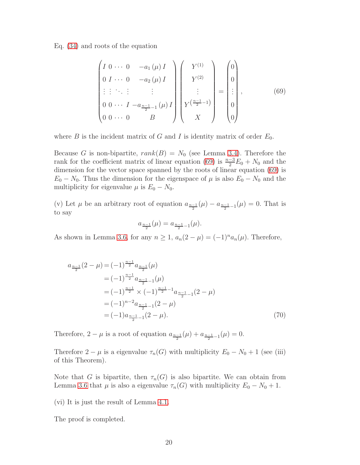Eq. [\(34\)](#page-11-3) and roots of the equation

<span id="page-19-0"></span>
$$
\begin{pmatrix}\nI & 0 & \cdots & 0 & -a_1(\mu) I \\
0 & I & \cdots & 0 & -a_2(\mu) I \\
\vdots & \vdots & \ddots & \vdots & \vdots \\
0 & 0 & \cdots & I & -a_{\frac{n-1}{2}-1}(\mu) I \\
0 & 0 & \cdots & 0 & B\n\end{pmatrix}\n\begin{pmatrix}\nY^{(1)} \\
Y^{(2)} \\
\vdots \\
Y^{(\frac{n-1}{2}-1)} \\
X\n\end{pmatrix} = \begin{pmatrix}\n0 \\
0 \\
\vdots \\
0 \\
0\n\end{pmatrix},
$$
\n(69)

where B is the incident matrix of G and I is identity matrix of order  $E_0$ .

Because G is non-bipartite,  $rank(B) = N_0$  (see Lemma [3.4\)](#page-5-4). Therefore the rank for the coefficient matrix of linear equation [\(69\)](#page-19-0) is  $\frac{n-3}{2}E_0 + N_0$  and the dimension for the vector space spanned by the roots of linear equation [\(69\)](#page-19-0) is  $E_0 - N_0$ . Thus the dimension for the eigenspace of  $\mu$  is also  $E_0 - N_0$  and the multiplicity for eigenvalue  $\mu$  is  $E_0 - N_0$ .

(v) Let  $\mu$  be an arbitrary root of equation  $a_{\frac{n-1}{2}}(\mu) - a_{\frac{n-1}{2}-1}(\mu) = 0$ . That is to say

$$
a_{\frac{n-1}{2}}(\mu) = a_{\frac{n-1}{2}-1}(\mu).
$$

As shown in Lemma [3.6,](#page-5-0) for any  $n \ge 1$ ,  $a_n(2 - \mu) = (-1)^n a_n(\mu)$ . Therefore,

$$
a_{\frac{n-1}{2}}(2-\mu) = (-1)^{\frac{n-1}{2}} a_{\frac{n-1}{2}}(\mu)
$$
  
\n
$$
= (-1)^{\frac{n-1}{2}} a_{\frac{n-1}{2}-1}(\mu)
$$
  
\n
$$
= (-1)^{\frac{n-1}{2}} \times (-1)^{\frac{n-1}{2}-1} a_{\frac{n-1}{2}-1} (2-\mu)
$$
  
\n
$$
= (-1)^{n-2} a_{\frac{n-1}{2}-1} (2-\mu)
$$
  
\n
$$
= (-1)^{n-2} a_{\frac{n-1}{2}-1} (2-\mu).
$$
 (70)

Therefore,  $2 - \mu$  is a root of equation  $a_{\frac{n-1}{2}}(\mu) + a_{\frac{n-1}{2}-1}(\mu) = 0$ .

Therefore  $2 - \mu$  is a eigenvalue  $\tau_n(G)$  with multiplicity  $E_0 - N_0 + 1$  (see (iii) of this Theorem).

Note that G is bipartite, then  $\tau_n(G)$  is also bipartite. We can obtain from Lemma [3.6](#page-5-0) that  $\mu$  is also a eigenvalue  $\tau_n(G)$  with multiplicity  $E_0 - N_0 + 1$ .

(vi) It is just the result of Lemma [4.1.](#page-7-1)

The proof is completed.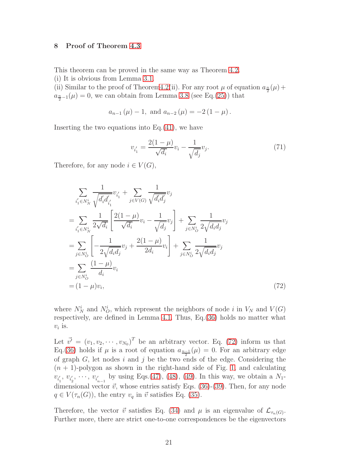# <span id="page-20-0"></span>8 Proof of Theorem [4.3](#page-8-1)

This theorem can be proved in the same way as Theorem [4.2.](#page-8-0)

(i) It is obvious from Lemma [3.1.](#page-4-2)

(ii) Similar to the proof of Theorem 4.2(ii). For any root  $\mu$  of equation  $a_{\frac{n}{2}}(\mu)$  +  $a_{\frac{n}{2}-1}(\mu) = 0$ , we can obtain from Lemma [3.8](#page-6-2) (see Eq.[\(25\)](#page-7-2)) that

$$
a_{n-1}(\mu) - 1
$$
, and  $a_{n-2}(\mu) = -2(1 - \mu)$ .

Inserting the two equations into Eq.[\(41\)](#page-12-2), we have

$$
v_{i_1'} = \frac{2(1-\mu)}{\sqrt{d_i}} v_i - \frac{1}{\sqrt{d_j}} v_j.
$$
\n(71)

Therefore, for any node  $i \in V(G)$ ,

<span id="page-20-1"></span>
$$
\sum_{i'_1 \in N_N^i} \frac{1}{\sqrt{d'_i d'_{i'_1}}} v_{i'_1} + \sum_{j \in V(G)} \frac{1}{\sqrt{d'_i d'_j}} v_j
$$
\n
$$
= \sum_{i'_1 \in N_N^i} \frac{1}{2\sqrt{d_i}} \left[ \frac{2(1-\mu)}{\sqrt{d_i}} v_i - \frac{1}{\sqrt{d_j}} v_j \right] + \sum_{j \in N_O^i} \frac{1}{2\sqrt{d_i d_j}} v_j
$$
\n
$$
= \sum_{j \in N_O^i} \left[ -\frac{1}{2\sqrt{d_i d_j}} v_j + \frac{2(1-\mu)}{2d_i} v_i \right] + \sum_{j \in N_O^i} \frac{1}{2\sqrt{d_i d_j}} v_j
$$
\n
$$
= \sum_{j \in N_O^i} \frac{(1-\mu)}{d_i} v_i
$$
\n
$$
= (1-\mu)v_i,
$$
\n(72)

where  $N_N^i$  and  $N_O^i$ , which represent the neighbors of node i in  $V_N$  and  $V(G)$ respectively, are defined in Lemma [4.1.](#page-7-1) Thus, Eq.[\(36\)](#page-11-2) holds no matter what  $v_i$  is.

Let  $\vec{v'} = (v_1, v_2, \cdots, v_{N_0})^T$  be an arbitrary vector. Eq. [\(72\)](#page-20-1) inform us that Eq.[\(36\)](#page-11-2) holds if  $\mu$  is a root of equation  $a_{\frac{n-1}{2}}(\mu) = 0$ . For an arbitrary edge of graph  $G$ , let nodes i and j be the two ends of the edge. Considering the  $(n + 1)$ -polygon as shown in the right-hand side of Fig. [1,](#page-3-0) and calculating  $v_{i_1'}$  $v_{i'_2}$ ,  $v_{i'_2}$  $v_2', \dots, v_{i_{n-1}'}'$  by using Eqs.[\(47\)](#page-13-0), [\(48\)](#page-13-1), [\(49\)](#page-13-2). In this way, we obtain a  $N_1$ dimensional vector  $\vec{v}$ , whose entries satisfy Eqs. [\(36\)](#page-11-2)-[\(39\)](#page-12-0). Then, for any node  $q \in V(\tau_n(G))$ , the entry  $v_q$  in  $\vec{v}$  satisfies Eq. [\(35\)](#page-11-0).

Therefore, the vector  $\vec{v}$  satisfies Eq. [\(34\)](#page-11-3) and  $\mu$  is an eigenvalue of  $\mathcal{L}_{\tau_n(G)}$ . Further more, there are strict one-to-one correspondences be the eigenvectors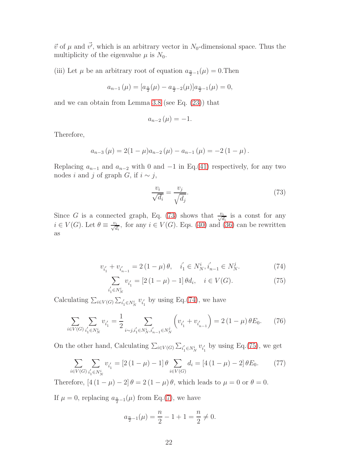$\vec{v}$  of  $\mu$  and  $\vec{v'}$ , which is an arbitrary vector in N<sub>0</sub>-dimensional space. Thus the multiplicity of the eigenvalue  $\mu$  is  $N_0$ .

(iii) Let  $\mu$  be an arbitrary root of equation  $a_{\frac{n}{2}-1}(\mu) = 0$ . Then

$$
a_{n-1}(\mu) = [a_{\frac{n}{2}}(\mu) - a_{\frac{n}{2}-2}(\mu)]a_{\frac{n}{2}-1}(\mu) = 0,
$$

and we can obtain from Lemma [3.8](#page-6-2) (see Eq. [\(23\)](#page-7-3)) that

$$
a_{n-2}\left(\mu\right)=-1.
$$

Therefore,

$$
a_{n-3}(\mu) = 2(1 - \mu)a_{n-2}(\mu) - a_{n-1}(\mu) = -2(1 - \mu).
$$

Replacing  $a_{n-1}$  and  $a_{n-2}$  with 0 and  $-1$  in Eq.[\(41\)](#page-12-2) respectively, for any two nodes *i* and *j* of graph *G*, if  $i \sim j$ ,

<span id="page-21-0"></span>
$$
\frac{v_i}{\sqrt{d_i}} = \frac{v_j}{\sqrt{d_j}}.\tag{73}
$$

Since G is a connected graph, Eq. [\(73\)](#page-21-0) shows that  $\frac{v_i}{\sqrt{d_i}}$  is a const for any  $i \in V(G)$ . Let  $\theta \equiv \frac{v_i}{\sqrt{d_i}}$ , for any  $i \in V(G)$ . Eqs. [\(40\)](#page-12-6) and [\(36\)](#page-11-2) can be rewritten as

<span id="page-21-1"></span>
$$
v_{i'_1} + v_{i'_{n-1}} = 2(1 - \mu)\theta, \quad i'_1 \in N_N^i, i'_{n-1} \in N_N^j. \tag{74}
$$

<span id="page-21-2"></span>
$$
\sum_{i_1' \in N_N^i} v_{i_1'} = [2(1 - \mu) - 1] \theta d_i, \quad i \in V(G).
$$
 (75)

Calculating  $\sum_{i \in V(G)} \sum_{i'_1 \in N_N^i} v_{i'_1}$  $\frac{1}{1}$  by using Eq.[\(74\)](#page-21-1), we have

$$
\sum_{i \in V(G)} \sum_{i'_1 \in N_N^i} v_{i'_1} = \frac{1}{2} \sum_{i \sim j, i'_1 \in N_N^i, i'_{n-1} \in N_N^j} \left( v_{i'_1} + v_{i'_{n-1}} \right) = 2 \left( 1 - \mu \right) \theta E_0. \tag{76}
$$

On the other hand, Calculating  $\sum_{i \in V(G)} \sum_{i'_1 \in N_N^i} v_{i'_1}$  $\frac{1}{1}$  by using Eq.[\(75\)](#page-21-2), we get

$$
\sum_{i \in V(G)} \sum_{i'_1 \in N_N^i} v_{i'_1} = [2(1 - \mu) - 1] \theta \sum_{i \in V(G)} d_i = [4(1 - \mu) - 2] \theta E_0.
$$
 (77)

Therefore,  $[4(1 - \mu) - 2] \theta = 2(1 - \mu) \theta$ , which leads to  $\mu = 0$  or  $\theta = 0$ .

If  $\mu = 0$ , replacing  $a_{\frac{n}{2}-1}(\mu)$  from Eq.[\(7\)](#page-5-2), we have

$$
a_{\frac{n}{2}-1}(\mu) = \frac{n}{2} - 1 + 1 = \frac{n}{2} \neq 0.
$$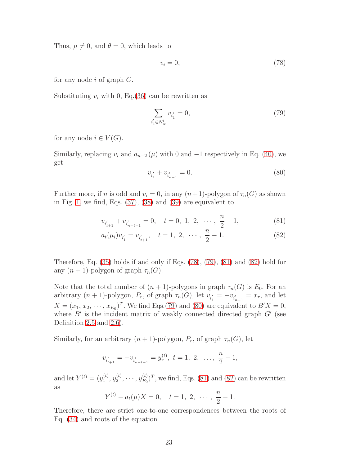Thus,  $\mu \neq 0$ , and  $\theta = 0$ , which leads to

<span id="page-22-1"></span>
$$
v_i = 0,\t\t(78)
$$

for any node  $i$  of graph  $G$ .

Substituting  $v_i$  with 0, Eq. [\(36\)](#page-11-2) can be rewritten as

<span id="page-22-2"></span>
$$
\sum_{i_1' \in N_N^i} v_{i_1'} = 0,\tag{79}
$$

for any node  $i \in V(G)$ .

Similarly, replacing  $v_i$  and  $a_{n-2}(\mu)$  with 0 and  $-1$  respectively in Eq. [\(40\)](#page-12-6), we get

<span id="page-22-4"></span><span id="page-22-3"></span><span id="page-22-0"></span>
$$
v_{i_1'} + v_{i_{n-1}'} = 0.
$$
\n(80)

Further more, if n is odd and  $v_i = 0$ , in any  $(n+1)$ -polygon of  $\tau_n(G)$  as shown in Fig. [1,](#page-3-0) we find, Eqs. [\(37\)](#page-11-1), [\(38\)](#page-12-1) and [\(39\)](#page-12-0) are equivalent to

$$
v_{i'_{t+1}} + v_{i'_{n-t-1}} = 0, \quad t = 0, 1, 2, \cdots, \frac{n}{2} - 1,
$$
 (81)

$$
a_t(\mu_i)v_{i'_1} = v_{i'_{t+1}}, \quad t = 1, 2, \cdots, \frac{n}{2} - 1.
$$
 (82)

Therefore, Eq. [\(35\)](#page-11-0) holds if and only if Eqs. [\(78\)](#page-22-1), [\(79\)](#page-22-2), [\(81\)](#page-22-3) and [\(82\)](#page-22-0) hold for any  $(n + 1)$ -polygon of graph  $\tau_n(G)$ .

Note that the total number of  $(n + 1)$ -polygons in graph  $\tau_n(G)$  is  $E_0$ . For an arbitrary  $(n + 1)$ -polygon,  $P_r$ , of graph  $\tau_n(G)$ , let  $v_{i_1}$  $y'_{i} = -v_{i'_{n-1}} = x_r$ , and let  $X = (x_1, x_2, \dots, x_{E_0})^T$ . We find Eqs.[\(79\)](#page-22-2) and [\(80\)](#page-22-4) are equivalent to  $B'X = 0$ , where  $B'$  is the incident matrix of weakly connected directed graph  $G'$  (see Definition [2.5](#page-3-3) and [2.6\)](#page-3-4).

Similarly, for an arbitrary  $(n + 1)$ -polygon,  $P_r$ , of graph  $\tau_n(G)$ , let

$$
v_{i'_{t+1}} = -v_{i'_{n-t-1}} = y_r^{(t)}, \ t = 1, 2, \ \ldots, \ \frac{n}{2} - 1,
$$

and let  $Y^{(t)} = (y_1^{(t)}$  $\stackrel{(t)}{1}, \stackrel{(t)}{y_2^{(t)}}$  $y_2^{(t)}, \cdots, y_{E_0}^{(t)}$  $(E_D^{(t)})^T$ , we find, Eqs. [\(81\)](#page-22-3) and [\(82\)](#page-22-0) can be rewritten as

$$
Y^{(t)} - a_t(\mu)X = 0, \quad t = 1, 2, \cdots, \frac{n}{2} - 1.
$$

Therefore, there are strict one-to-one correspondences between the roots of Eq. [\(34\)](#page-11-3) and roots of the equation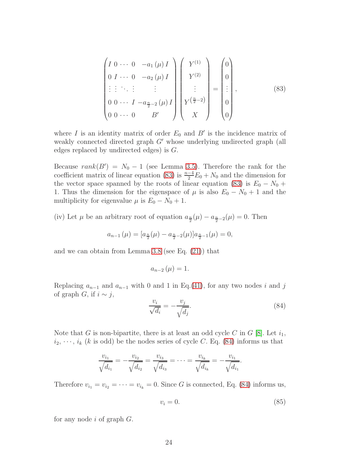<span id="page-23-0"></span>
$$
\begin{pmatrix}\nI & 0 & \cdots & 0 & -a_1(\mu) I \\
0 & I & \cdots & 0 & -a_2(\mu) I \\
\vdots & \vdots & \ddots & \vdots & \vdots \\
0 & 0 & \cdots & I & -a_{\frac{n}{2}-2}(\mu) I \\
0 & 0 & \cdots & 0 & B'\n\end{pmatrix}\n\begin{pmatrix}\nY^{(1)} \\
Y^{(2)} \\
\vdots \\
Y^{(\frac{n}{2}-2)} \\
X\n\end{pmatrix}\n=\n\begin{pmatrix}\n0 \\
0 \\
\vdots \\
0 \\
0\n\end{pmatrix},
$$
\n(83)

where  $I$  is an identity matrix of order  $E_0$  and  $B'$  is the incidence matrix of weakly connected directed graph G' whose underlying undirected graph (all edges replaced by undirected edges) is G.

Because  $rank(B') = N_0 - 1$  (see Lemma [3.5\)](#page-5-3). Therefore the rank for the coefficient matrix of linear equation [\(83\)](#page-23-0) is  $\frac{n-4}{2}E_0 + N_0$  and the dimension for the vector space spanned by the roots of linear equation [\(83\)](#page-23-0) is  $E_0 - N_0 +$ 1. Thus the dimension for the eigenspace of  $\mu$  is also  $E_0 - N_0 + 1$  and the multiplicity for eigenvalue  $\mu$  is  $E_0 - N_0 + 1$ .

(iv) Let  $\mu$  be an arbitrary root of equation  $a_{\frac{n}{2}}(\mu) - a_{\frac{n}{2}-2}(\mu) = 0$ . Then

$$
a_{n-1}(\mu) = [a_{\frac{n}{2}}(\mu) - a_{\frac{n}{2}-2}(\mu)]a_{\frac{n}{2}-1}(\mu) = 0,
$$

and we can obtain from Lemma [3.8](#page-6-2) (see Eq. [\(21\)](#page-6-5)) that

$$
a_{n-2}\left(\mu\right)=1.
$$

Replacing  $a_{n-1}$  and  $a_{n-1}$  with 0 and 1 in Eq.[\(41\)](#page-12-2), for any two nodes i and j of graph *G*, if  $i \sim j$ ,

<span id="page-23-1"></span>
$$
\frac{v_i}{\sqrt{d_i}} = -\frac{v_j}{\sqrt{d_j}}.\tag{84}
$$

Note that G is non-bipartite, there is at least an odd cycle C in G [\[8\]](#page-34-4). Let  $i_1$ ,  $i_2, \dots, i_k$  (k is odd) be the nodes series of cycle C. Eq. [\(84\)](#page-23-1) informs us that

$$
\frac{v_{i_1}}{\sqrt{d_{i_1}}} = -\frac{v_{i_2}}{\sqrt{d_{i_2}}} = \frac{v_{i_3}}{\sqrt{d_{i_3}}} = \cdots = \frac{v_{i_k}}{\sqrt{d_{i_k}}} = -\frac{v_{i_1}}{\sqrt{d_{i_1}}}.
$$

Therefore  $v_{i_1} = v_{i_2} = \cdots = v_{i_k} = 0$ . Since G is connected, Eq. [\(84\)](#page-23-1) informs us,

<span id="page-23-2"></span>
$$
v_i = 0.\t\t(85)
$$

for any node  $i$  of graph  $G$ .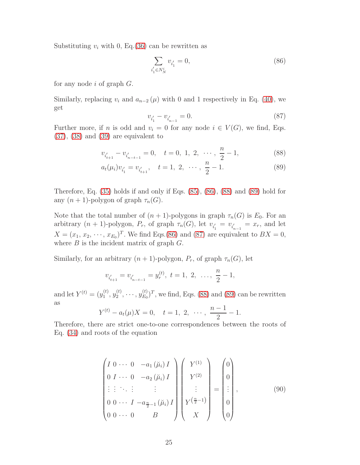Substituting  $v_i$  with 0, Eq. [\(36\)](#page-11-2) can be rewritten as

<span id="page-24-1"></span>
$$
\sum_{i_1' \in N_N^i} v_{i_1'} = 0,\tag{86}
$$

for any node  $i$  of graph  $G$ .

Similarly, replacing  $v_i$  and  $a_{n-2}(\mu)$  with 0 and 1 respectively in Eq. [\(40\)](#page-12-6), we get

<span id="page-24-3"></span><span id="page-24-2"></span><span id="page-24-0"></span>
$$
v_{i_1'} - v_{i_{n-1}'} = 0.\t\t(87)
$$

Further more, if n is odd and  $v_i = 0$  for any node  $i \in V(G)$ , we find, Eqs. [\(37\)](#page-11-1), [\(38\)](#page-12-1) and [\(39\)](#page-12-0) are equivalent to

$$
v_{i'_{t+1}} - v_{i'_{n-t-1}} = 0, \quad t = 0, 1, 2, \cdots, \frac{n}{2} - 1,
$$
 (88)

$$
a_t(\mu_i)v_{i'_1} = v_{i'_{t+1}}, \quad t = 1, 2, \cdots, \frac{n}{2} - 1.
$$
 (89)

Therefore, Eq. [\(35\)](#page-11-0) holds if and only if Eqs. [\(85\)](#page-23-2), [\(86\)](#page-24-1), [\(88\)](#page-24-2) and [\(89\)](#page-24-0) hold for any  $(n + 1)$ -polygon of graph  $\tau_n(G)$ .

Note that the total number of  $(n + 1)$ -polygons in graph  $\tau_n(G)$  is  $E_0$ . For an arbitrary  $(n + 1)$ -polygon,  $P_r$ , of graph  $\tau_n(G)$ , let  $v_{i_1}$  $v_{i_{n-1}} = x_r$ , and let  $X = (x_1, x_2, \dots, x_{E_0})^T$ . We find Eqs.[\(86\)](#page-24-1) and [\(87\)](#page-24-3) are equivalent to  $BX = 0$ , where  $B$  is the incident matrix of graph  $G$ .

Similarly, for an arbitrary  $(n + 1)$ -polygon,  $P_r$ , of graph  $\tau_n(G)$ , let

$$
v_{i'_{t+1}} = v_{i'_{n-t-1}} = y_r^{(t)}, \ t = 1, \ 2, \ \ldots, \ \frac{n}{2} - 1,
$$

and let  $Y^{(t)} = (y_1^{(t)}$  $\stackrel{(t)}{1}, \stackrel{(t)}{y_2^{(t)}}$  $y_2^{(t)}, \cdots, y_{E_0}^{(t)}$  $(E_D^{(t)})^T$ , we find, Eqs. [\(88\)](#page-24-2) and [\(89\)](#page-24-0) can be rewritten as

$$
Y^{(t)} - a_t(\mu)X = 0, \quad t = 1, 2, \cdots, \frac{n-1}{2} - 1.
$$

Therefore, there are strict one-to-one correspondences between the roots of Eq. [\(34\)](#page-11-3) and roots of the equation

<span id="page-24-4"></span>
$$
\begin{pmatrix}\nI & 0 & \cdots & 0 & -a_1 (\breve{\mu}_i) I \\
0 & I & \cdots & 0 & -a_2 (\breve{\mu}_i) I \\
\vdots & \vdots & \ddots & \vdots & \vdots \\
0 & 0 & \cdots & I & -a_{\frac{n}{2}-1} (\breve{\mu}_i) I \\
0 & 0 & \cdots & 0 & B\n\end{pmatrix}\n\begin{pmatrix}\nY^{(1)} \\
Y^{(2)} \\
\vdots \\
Y^{(\frac{n}{2}-1)} \\
X\n\end{pmatrix}\n=\n\begin{pmatrix}\n0 \\
0 \\
\vdots \\
0 \\
0\n\end{pmatrix},
$$
\n(90)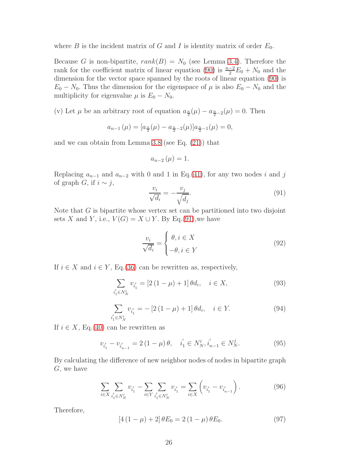where  $B$  is the incident matrix of  $G$  and  $I$  is identity matrix of order  $E_0$ .

Because G is non-bipartite,  $rank(B) = N_0$  (see Lemma [3.4\)](#page-5-4). Therefore the rank for the coefficient matrix of linear equation [\(90\)](#page-24-4) is  $\frac{n-2}{2}E_0 + N_0$  and the dimension for the vector space spanned by the roots of linear equation [\(90\)](#page-24-4) is  $E_0 - N_0$ . Thus the dimension for the eigenspace of  $\mu$  is also  $E_0 - N_0$  and the multiplicity for eigenvalue  $\mu$  is  $E_0 - N_0$ .

(v) Let  $\mu$  be an arbitrary root of equation  $a_{\frac{n}{2}}(\mu) - a_{\frac{n}{2}-2}(\mu) = 0$ . Then

$$
a_{n-1}(\mu) = [a_{\frac{n}{2}}(\mu) - a_{\frac{n}{2}-2}(\mu)]a_{\frac{n}{2}-1}(\mu) = 0,
$$

and we can obtain from Lemma [3.8](#page-6-2) (see Eq. [\(21\)](#page-6-5)) that

$$
a_{n-2}\left(\mu\right)=1.
$$

Replacing  $a_{n-1}$  and  $a_{n-2}$  with 0 and 1 in Eq.[\(41\)](#page-12-2), for any two nodes i and j of graph *G*, if  $i \sim j$ ,

<span id="page-25-0"></span>
$$
\frac{v_i}{\sqrt{d_i}} = -\frac{v_j}{\sqrt{d_j}}.\tag{91}
$$

Note that G is bipartite whose vertex set can be partitioned into two disjoint sets X and Y, i.e.,  $V(G) = X \cup Y$ . By Eq.[\(91\)](#page-25-0), we have

$$
\frac{v_i}{\sqrt{d_i}} = \begin{cases} \theta, i \in X \\ -\theta, i \in Y \end{cases}
$$
 (92)

If  $i \in X$  and  $i \in Y$ , Eq.[\(36\)](#page-11-2) can be rewritten as, respectively,

$$
\sum_{i_1' \in N_N^i} v_{i_1'} = [2(1 - \mu) + 1] \theta d_i, \quad i \in X,
$$
\n(93)

$$
\sum_{i'_1 \in N_N^i} v_{i'_1} = -[2(1-\mu)+1] \theta d_i, \quad i \in Y. \tag{94}
$$

If  $i \in X$ , Eq.[\(40\)](#page-12-6) can be rewritten as

$$
v_{i_1'} - v_{i_{n-1}'} = 2(1 - \mu)\theta, \quad i_1' \in N_N^i, i_{n-1}' \in N_N^j. \tag{95}
$$

By calculating the difference of new neighbor nodes of nodes in bipartite graph G, we have

$$
\sum_{i \in X} \sum_{i'_1 \in N_N^i} v_{i'_1} - \sum_{i \in Y} \sum_{i'_1 \in N_N^i} v_{i'_1} = \sum_{i \in X} \left( v_{i'_1} - v_{i'_{n-1}} \right).
$$
 (96)

Therefore,

$$
[4(1 - \mu) + 2] \theta E_0 = 2(1 - \mu) \theta E_0.
$$
 (97)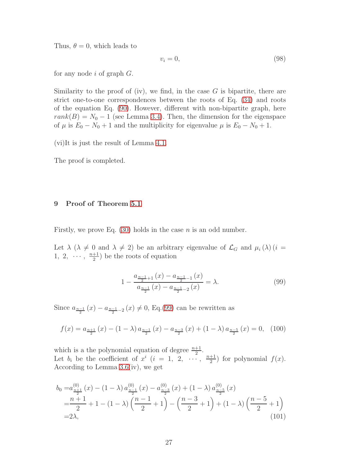Thus,  $\theta = 0$ , which leads to

$$
v_i = 0,\t\t(98)
$$

for any node  $i$  of graph  $G$ .

Similarity to the proof of (iv), we find, in the case  $G$  is bipartite, there are strict one-to-one correspondences between the roots of Eq. [\(34\)](#page-11-3) and roots of the equation Eq. [\(90\)](#page-24-4). However, different with non-bipartite graph, here  $rank(B) = N_0 - 1$  (see Lemma [3.4\)](#page-5-4). Then, the dimension for the eigenspace of  $\mu$  is  $E_0 - N_0 + 1$  and the multiplicity for eigenvalue  $\mu$  is  $E_0 - N_0 + 1$ .

(vi)It is just the result of Lemma [4.1.](#page-7-1)

The proof is completed.

## <span id="page-26-0"></span>9 Proof of Theorem [5.1](#page-9-1)

Firstly, we prove Eq.  $(30)$  holds in the case *n* is an odd number.

Let  $\lambda$  ( $\lambda \neq 0$  and  $\lambda \neq 2$ ) be an arbitrary eigenvalue of  $\mathcal{L}_G$  and  $\mu_i(\lambda)$  (i =  $1, 2, \cdots, \frac{n+1}{2}$  $\frac{+1}{2}$ ) be the roots of equation

<span id="page-26-3"></span><span id="page-26-1"></span>
$$
1 - \frac{a_{\frac{n-1}{2}+1}(x) - a_{\frac{n-1}{2}-1}(x)}{a_{\frac{n-1}{2}}(x) - a_{\frac{n-1}{2}-2}(x)} = \lambda.
$$
 (99)

Since  $a_{\frac{n-1}{2}}(x) - a_{\frac{n-1}{2}-2}(x) \neq 0$ , Eq.[\(99\)](#page-26-1) can be rewritten as

<span id="page-26-2"></span>
$$
f(x) = a_{\frac{n+1}{2}}(x) - (1 - \lambda) a_{\frac{n-1}{2}}(x) - a_{\frac{n-3}{2}}(x) + (1 - \lambda) a_{\frac{n-5}{2}}(x) = 0, \quad (100)
$$

which is a the polynomial equation of degree  $\frac{n+1}{2}$ . Let  $b_i$  be the coefficient of  $x^i$   $(i = 1, 2, \cdots, \frac{n+1}{2})$  $\frac{+1}{2}$  for polynomial  $f(x)$ . According to Lemma [3.6\(](#page-5-0)iv), we get

$$
b_0 = a_{\frac{n+1}{2}}^{(0)}(x) - (1 - \lambda) a_{\frac{n-1}{2}}^{(0)}(x) - a_{\frac{n-3}{2}}^{(0)}(x) + (1 - \lambda) a_{\frac{n-5}{2}}^{(0)}(x)
$$
  
=  $\frac{n+1}{2}$  + 1 - (1 - \lambda)  $\left(\frac{n-1}{2} + 1\right)$  -  $\left(\frac{n-3}{2} + 1\right)$  + (1 - \lambda)  $\left(\frac{n-5}{2} + 1\right)$   
= 2\lambda, (101)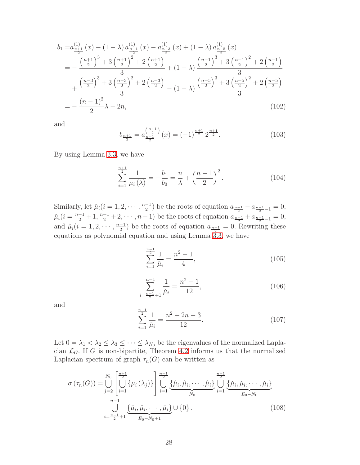$$
b_{1} = a_{\frac{n+1}{2}}^{(1)}(x) - (1 - \lambda) a_{\frac{n-1}{2}}^{(1)}(x) - a_{\frac{n-3}{2}}^{(1)}(x) + (1 - \lambda) a_{\frac{n-5}{2}}^{(1)}(x)
$$
  
\n
$$
= -\frac{\left(\frac{n+1}{2}\right)^{3} + 3\left(\frac{n+1}{2}\right)^{2} + 2\left(\frac{n+1}{2}\right)}{3} + (1 - \lambda) \frac{\left(\frac{n-1}{2}\right)^{3} + 3\left(\frac{n-1}{2}\right)^{2} + 2\left(\frac{n-1}{2}\right)}{3}
$$
  
\n
$$
+ \frac{\left(\frac{n-3}{2}\right)^{3} + 3\left(\frac{n-3}{2}\right)^{2} + 2\left(\frac{n-3}{2}\right)}{3} - (1 - \lambda) \frac{\left(\frac{n-5}{2}\right)^{3} + 3\left(\frac{n-5}{2}\right)^{2} + 2\left(\frac{n-5}{2}\right)}{3}
$$
  
\n
$$
= -\frac{(n-1)^{2}}{2}\lambda - 2n,
$$
\n(102)

and

<span id="page-27-2"></span>
$$
b_{\frac{n+1}{2}} = a_{\frac{n+1}{2}}^{\left(\frac{n+1}{2}\right)}(x) = (-1)^{\frac{n+1}{2}} 2^{\frac{n+1}{2}}.
$$
 (103)

By using Lemma [3.3,](#page-4-3) we have

<span id="page-27-0"></span>
$$
\sum_{i=1}^{\frac{n+1}{2}} \frac{1}{\mu_i(\lambda)} = -\frac{b_1}{b_0} = \frac{n}{\lambda} + \left(\frac{n-1}{2}\right)^2.
$$
 (104)

Similarly, let  $\mu_i(i=1,2,\dots,\frac{n-1}{2})$  be the roots of equation  $a_{\frac{n-1}{2}}-a_{\frac{n-1}{2}-1}=0$ ,  $\mu_i(i = \frac{n-1}{2} + 1, \frac{n-1}{2} + 2, \dots, n-1)$  be the roots of equation  $a_{\frac{n-1}{2}} + a_{\frac{n-1}{2}-1} = 0$ , and  $\hat{\mu}_i (i = 1, 2, \dots, \frac{n-1}{2})$  be the roots of equation  $a_{\frac{n-1}{2}} = 0$ . Rewriting these equations as polynomial equation and using Lemma  $3.\overline{3}$ , we have

$$
\sum_{i=1}^{\frac{n-1}{2}} \frac{1}{\check{\mu}_i} = \frac{n^2 - 1}{4},\tag{105}
$$

$$
\sum_{i=\frac{n-1}{2}+1}^{n-1} \frac{1}{\check{\mu}_i} = \frac{n^2-1}{12},\tag{106}
$$

and

<span id="page-27-3"></span><span id="page-27-1"></span>
$$
\sum_{i=1}^{\frac{n-1}{2}} \frac{1}{\hat{\mu}_i} = \frac{n^2 + 2n - 3}{12}.
$$
 (107)

Let  $0 = \lambda_1 < \lambda_2 \leq \lambda_3 \leq \cdots \leq \lambda_{N_0}$  be the eigenvalues of the normalized Laplacian  $\mathcal{L}_G$ . If G is non-bipartite, Theorem [4.2](#page-8-0) informs us that the normalized Laplacian spectrum of graph  $\tau_n(G)$  can be written as

$$
\sigma\left(\tau_n(G)\right) = \bigcup_{j=2}^{N_0} \left[ \bigcup_{i=1}^{\frac{n+1}{2}} \{\mu_i\left(\lambda_j\right)\} \right] \bigcup_{i=1}^{\frac{n-1}{2}} \underbrace{\{\hat{\mu}_i, \hat{\mu}_i, \dots, \hat{\mu}_i\}}_{N_0} \bigcup_{i=1}^{\frac{n-1}{2}} \underbrace{\{\check{\mu}_i, \check{\mu}_i, \dots, \check{\mu}_i\}}_{E_0 - N_0} - \underbrace{\sum_{i=1}^{n-1} \{\check{\mu}_i, \check{\mu}_i, \dots, \check{\mu}_i\}}_{E_0 - N_0 + 1} \tag{108}
$$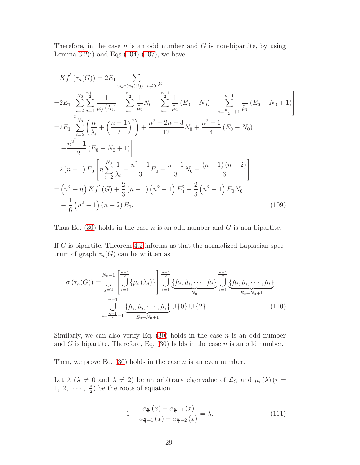Therefore, in the case  $n$  is an odd number and  $G$  is non-bipartite, by using Lemma [3.2\(](#page-4-1)i) and Eqs  $(104)-(107)$  $(104)-(107)$ , we have

$$
Kf'(\tau_n(G)) = 2E_1 \sum_{u \in \sigma(\tau_n(G)), \mu \neq 0} \frac{1}{\mu}
$$
  
\n
$$
= 2E_1 \left[ \sum_{i=2}^{N_0} \sum_{j=1}^{\frac{n+1}{2}} \frac{1}{\mu_j(\lambda_i)} + \sum_{i=1}^{\frac{n-1}{2}} \frac{1}{\hat{\mu}_i} N_0 + \sum_{i=1}^{\frac{n-1}{2}} \frac{1}{\tilde{\mu}_i} (E_0 - N_0) + \sum_{i=\frac{n-1}{2}+1}^{n-1} \frac{1}{\tilde{\mu}_i} (E_0 - N_0 + 1) \right]
$$
  
\n
$$
= 2E_1 \left[ \sum_{i=2}^{N_0} \left( \frac{n}{\lambda_i} + \left( \frac{n-1}{2} \right)^2 \right) + \frac{n^2 + 2n - 3}{12} N_0 + \frac{n^2 - 1}{4} (E_0 - N_0)
$$
  
\n
$$
+ \frac{n^2 - 1}{12} (E_0 - N_0 + 1) \right]
$$
  
\n
$$
= 2(n+1) E_0 \left[ n \sum_{i=2}^{N_0} \frac{1}{\lambda_i} + \frac{n^2 - 1}{3} E_0 - \frac{n-1}{3} N_0 - \frac{(n-1)(n-2)}{6} \right]
$$
  
\n
$$
= (n^2 + n) Kf'(G) + \frac{2}{3} (n+1) (n^2 - 1) E_0^2 - \frac{2}{3} (n^2 - 1) E_0 N_0
$$
  
\n
$$
- \frac{1}{6} (n^2 - 1) (n - 2) E_0.
$$
  
\n(109)

Thus Eq. [\(30\)](#page-9-2) holds in the case *n* is an odd number and *G* is non-bipartite.

If  $G$  is bipartite, Theorem [4.2](#page-8-0) informs us that the normalized Laplacian spectrum of graph  $\tau_n(G)$  can be written as

<span id="page-28-0"></span>
$$
\sigma\left(\tau_n(G)\right) = \bigcup_{j=2}^{N_0-1} \left[ \bigcup_{i=1}^{\frac{n+1}{2}} \{\mu_i\left(\lambda_j\right)\} \right] \bigcup_{i=1}^{\frac{n-1}{2}} \underbrace{\{\hat{\mu}_i, \hat{\mu}_i, \dots, \hat{\mu}_i\}}_{N_0} \bigcup_{i=1}^{\frac{n-1}{2}} \underbrace{\{\check{\mu}_i, \check{\mu}_i, \dots, \check{\mu}_i\}}_{E_0 - N_0 + 1}
$$
\n
$$
\bigcup_{i=-\frac{n-1}{2}+1}^{\frac{n-1}{2}} \underbrace{\{\check{\mu}_i, \check{\mu}_i, \dots, \check{\mu}_i\}}_{E_0 - N_0 + 1} \cup \{0\} \cup \{2\}.
$$
\n(110)

Similarly, we can also verify Eq.  $(30)$  holds in the case n is an odd number and G is bipartite. Therefore, Eq.  $(30)$  holds in the case n is an odd number.

Then, we prove Eq.  $(30)$  holds in the case *n* is an even number.

Let  $\lambda$  ( $\lambda \neq 0$  and  $\lambda \neq 2$ ) be an arbitrary eigenvalue of  $\mathcal{L}_G$  and  $\mu_i(\lambda)$  (i =  $1, 2, \cdots, \frac{n}{2}$  $\frac{n}{2}$ ) be the roots of equation

<span id="page-28-1"></span>
$$
1 - \frac{a_{\frac{n}{2}}(x) - a_{\frac{n}{2}-1}(x)}{a_{\frac{n}{2}-1}(x) - a_{\frac{n}{2}-2}(x)} = \lambda.
$$
 (111)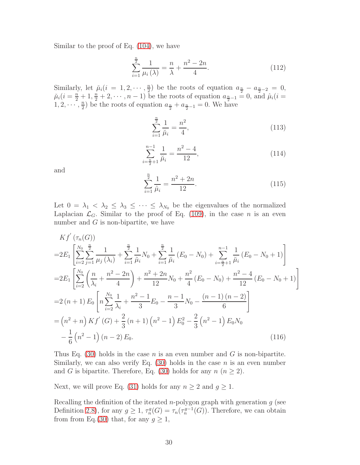Similar to the proof of Eq. [\(104\)](#page-27-0), we have

$$
\sum_{i=1}^{\frac{n}{2}} \frac{1}{\mu_i(\lambda)} = \frac{n}{\lambda} + \frac{n^2 - 2n}{4}.
$$
 (112)

Similarly, let  $\mu_i(i = 1, 2, \dots, \frac{n}{2})$  $\frac{n}{2}$  be the roots of equation  $a_{\frac{n}{2}} - a_{\frac{n}{2}-2} = 0$ ,  $\mu_i(i = \frac{n}{2} + 1, \frac{n}{2} + 2, \cdots, n-1)$  be the roots of equation  $a_{\frac{n}{2}-1} = 0$ , and  $\mu_i(i =$  $1, 2, \cdots, \frac{n}{2}$  $\frac{n}{2}$  be the roots of equation  $a_{\frac{n}{2}} + a_{\frac{n}{2}-1} = 0$ . We have

$$
\sum_{i=1}^{\frac{n}{2}} \frac{1}{\breve{\mu}_i} = \frac{n^2}{4},\tag{113}
$$

$$
\sum_{i=\frac{n}{2}+1}^{n-1} \frac{1}{\breve{\mu}_i} = \frac{n^2 - 4}{12},\tag{114}
$$

and  $\sum_{n=1}^{\infty}$ 

$$
\sum_{i=1}^{\frac{n}{2}} \frac{1}{\hat{\mu}_i} = \frac{n^2 + 2n}{12}.
$$
\n(115)

Let  $0 = \lambda_1 < \lambda_2 \leq \lambda_3 \leq \cdots \leq \lambda_{N_0}$  be the eigenvalues of the normalized Laplacian  $\mathcal{L}_G$ . Similar to the proof of Eq. [\(109\)](#page-28-0), in the case *n* is an even number and  $G$  is non-bipartite, we have

$$
Kf'(\tau_n(G))
$$
  
\n
$$
=2E_1\left[\sum_{i=2}^{N_0}\sum_{j=1}^{\frac{n}{2}}\frac{1}{\mu_j(\lambda_i)}+\sum_{i=1}^{\frac{n}{2}}\frac{1}{\tilde{\mu}_i}N_0+\sum_{i=1}^{\frac{n}{2}}\frac{1}{\mu_i}(E_0-N_0)+\sum_{i=\frac{n}{2}+1}^{n-1}\frac{1}{\mu_i}(E_0-N_0+1)\right]
$$
  
\n
$$
=2E_1\left[\sum_{i=2}^{N_0}\left(\frac{n}{\lambda_i}+\frac{n^2-2n}{4}\right)+\frac{n^2+2n}{12}N_0+\frac{n^2}{4}(E_0-N_0)+\frac{n^2-4}{12}(E_0-N_0+1)\right]
$$
  
\n
$$
=2(n+1)E_0\left[n\sum_{i=2}^{N_0}\frac{1}{\lambda_i}+\frac{n^2-1}{3}E_0-\frac{n-1}{3}N_0-\frac{(n-1)(n-2)}{6}\right]
$$
  
\n
$$
=(n^2+n)Kf'(G)+\frac{2}{3}(n+1)(n^2-1)E_0^2-\frac{2}{3}(n^2-1)E_0N_0
$$
  
\n
$$
-\frac{1}{6}(n^2-1)(n-2)E_0.
$$
\n(116)

Thus Eq. [\(30\)](#page-9-2) holds in the case n is an even number and G is non-bipartite. Similarly, we can also verify Eq.  $(30)$  holds in the case *n* is an even number and G is bipartite. Therefore, Eq. [\(30\)](#page-9-2) holds for any  $n (n \geq 2)$ .

Next, we will prove Eq. [\(31\)](#page-10-2) holds for any  $n \ge 2$  and  $g \ge 1$ .

Recalling the definition of the iterated *n*-polygon graph with generation  $g$  (see Definition [2.8\)](#page-3-2), for any  $g \geq 1$ ,  $\tau_n^g(G) = \tau_n(\tau_n^{g-1}(G))$ . Therefore, we can obtain from from Eq.[\(30\)](#page-9-2) that, for any  $g \geq 1$ ,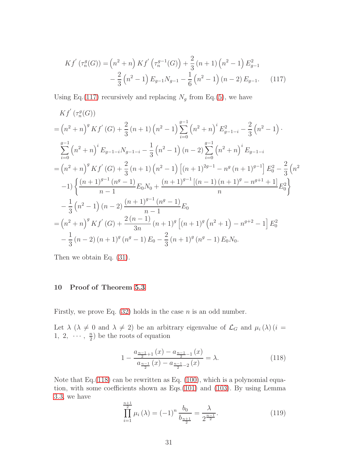<span id="page-30-1"></span>
$$
Kf' \left(\tau_n^g(G)\right) = \left(n^2 + n\right) Kf' \left(\tau_n^{g-1}(G)\right) + \frac{2}{3} \left(n+1\right) \left(n^2 - 1\right) E_{g-1}^2
$$

$$
- \frac{2}{3} \left(n^2 - 1\right) E_{g-1} N_{g-1} - \frac{1}{6} \left(n^2 - 1\right) \left(n-2\right) E_{g-1}. \tag{117}
$$

Using Eq.[\(117\)](#page-30-1) recursively and replacing  $N_g$  from Eq.[\(5\)](#page-4-4), we have

$$
Kf'(\tau_n^g(G))
$$
  
=  $(n^2 + n)^g Kf'(G) + \frac{2}{3}(n+1)(n^2 - 1)\sum_{i=0}^{g-1} (n^2 + n)^i E_{g-1-i}^2 - \frac{2}{3}(n^2 - 1) \cdot$   

$$
\sum_{i=0}^{g-1} (n^2 + n)^i E_{g-1-i} N_{g-1-i} - \frac{1}{3}(n^2 - 1)(n-2)\sum_{i=0}^{g-1} (n^2 + n)^i E_{g-1-i}
$$
  
=  $(n^2 + n)^g Kf'(G) + \frac{2}{3}(n+1)(n^2 - 1)[(n+1)^{2g-1} - n^g (n+1)^{g-1}] E_0^2 - \frac{2}{3}(n^2 - 1)\left\{\frac{(n+1)^{g-1}(n^g-1)}{n-1}E_0 N_0 + \frac{(n+1)^{g-1}[(n-1)(n+1)^g - n^{g+1} + 1]}{n}E_0^2\right\}$   

$$
-\frac{1}{3}(n^2 - 1)(n-2)\frac{(n+1)^{g-1}(n^g-1)}{n-1}E_0
$$
  
=  $(n^2 + n)^g Kf'(G) + \frac{2(n-1)}{3n}(n+1)^g [(n+1)^g (n^2 + 1) - n^{g+2} - 1] E_0^2$   

$$
-\frac{1}{3}(n-2)(n+1)^g (n^g - 1) E_0 - \frac{2}{3}(n+1)^g (n^g - 1) E_0 N_0.
$$

<span id="page-30-0"></span>Then we obtain Eq. [\(31\)](#page-10-2).

# 10 Proof of Theorem [5.3](#page-10-1)

Firstly, we prove Eq.  $(32)$  holds in the case *n* is an odd number.

Let  $\lambda$  ( $\lambda \neq 0$  and  $\lambda \neq 2$ ) be an arbitrary eigenvalue of  $\mathcal{L}_G$  and  $\mu_i(\lambda)$  (i =  $1, 2, \cdots, \frac{n}{2}$  $\frac{n}{2}$ ) be the roots of equation

<span id="page-30-2"></span>
$$
1 - \frac{a_{\frac{n-1}{2}+1}(x) - a_{\frac{n-1}{2}-1}(x)}{a_{\frac{n-1}{2}}(x) - a_{\frac{n-1}{2}-2}(x)} = \lambda.
$$
 (118)

Note that Eq.[\(118\)](#page-30-2) can be rewritten as Eq. [\(100\)](#page-26-2), which is a polynomial equation, with some coefficients shown as Eqs.[\(101\)](#page-26-3) and [\(103\)](#page-27-2). By using Lemma [3.3,](#page-4-3) we have  $m+1$ 

<span id="page-30-3"></span>
$$
\prod_{i=1}^{\frac{n+1}{2}} \mu_i(\lambda) = (-1)^n \frac{b_0}{b_{\frac{n+1}{2}}} = \frac{\lambda}{2^{\frac{n-1}{2}}}.
$$
 (119)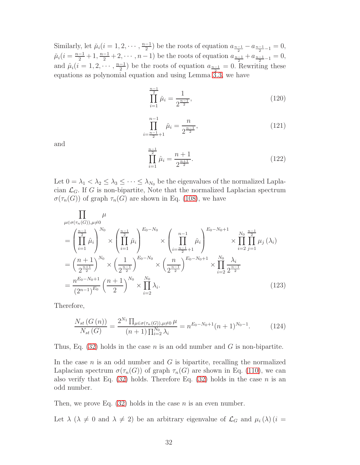Similarly, let  $\mu_i(i=1,2,\dots,\frac{n-1}{2})$  be the roots of equation  $a_{\frac{n-1}{2}}-a_{\frac{n-1}{2}-1}=0$ ,  $\mu_i(i = \frac{n-1}{2} + 1, \frac{n-1}{2} + 2, \cdots, n-1)$  be the roots of equation  $a_{\frac{n-1}{2}} + a_{\frac{n-1}{2}-1} = 0$ , and  $\hat{\mu}_i (i = 1, 2, \dots, \frac{n-1}{2})$  be the roots of equation  $a_{\frac{n-1}{2}} = 0$ . Rewriting these equations as polynomial equation and using Lemma  $3.3$ , we have

$$
\prod_{i=1}^{\frac{n-1}{2}} \check{\mu}_i = \frac{1}{2^{\frac{n-1}{2}}},\tag{120}
$$

$$
\prod_{i=\frac{n-1}{2}+1}^{n-1} \check{\mu}_i = \frac{n}{2^{\frac{n-1}{2}}},\tag{121}
$$

and

$$
\prod_{i=1}^{\frac{n-1}{2}} \hat{\mu}_i = \frac{n+1}{2^{\frac{n+1}{2}}}.\tag{122}
$$

Let  $0 = \lambda_1 < \lambda_2 \leq \lambda_3 \leq \cdots \leq \lambda_{N_0}$  be the eigenvalues of the normalized Laplacian  $\mathcal{L}_G$ . If G is non-bipartite, Note that the normalized Laplacian spectrum  $\sigma(\tau_n(G))$  of graph  $\tau_n(G)$  are shown in Eq. [\(108\)](#page-27-3), we have

$$
\prod_{\mu \in \sigma(\tau_n(G)), \mu \neq 0} \mu
$$
\n
$$
= \left( \prod_{i=1}^{\frac{n-1}{2}} \hat{\mu}_i \right)^{N_0} \times \left( \prod_{i=1}^{\frac{n-1}{2}} \check{\mu}_i \right)^{E_0 - N_0} \times \left( \prod_{i=\frac{n-1}{2}+1}^{n-1} \check{\mu}_i \right)^{E_0 - N_0 + 1} \times \prod_{i=2}^{N_0} \prod_{j=1}^{\frac{n-1}{2}} \mu_j(\lambda_i)
$$
\n
$$
= \left( \frac{n+1}{2^{\frac{n+1}{2}}} \right)^{N_0} \times \left( \frac{1}{2^{\frac{n-1}{2}}} \right)^{E_0 - N_0} \times \left( \frac{n}{2^{\frac{n-1}{2}}} \right)^{E_0 - N_0 + 1} \times \prod_{i=2}^{N_0} \frac{\lambda_i}{2^{\frac{n-1}{2}}}
$$
\n
$$
= \frac{n^{E_0 - N_0 + 1}}{(2^{n-1})^{E_0}} \left( \frac{n+1}{2} \right)^{N_0} \times \prod_{i=2}^{N_0} \lambda_i.
$$
\n(123)

Therefore,

<span id="page-31-0"></span>
$$
\frac{N_{st}(G(n))}{N_{st}(G)} = \frac{2^{N_1} \prod_{\mu \in \sigma(\tau_n(G)), \mu \neq 0} \mu}{(n+1) \prod_{i=2}^{N_0} \lambda_i} = n^{E_0 - N_0 + 1} (n+1)^{N_0 - 1}.
$$
 (124)

Thus, Eq.  $(32)$  holds in the case *n* is an odd number and *G* is non-bipartite.

In the case  $n$  is an odd number and  $G$  is bipartite, recalling the normalized Laplacian spectrum  $\sigma(\tau_n(G))$  of graph  $\tau_n(G)$  are shown in Eq. [\(110\)](#page-28-1), we can also verify that Eq.  $(32)$  holds. Therefore Eq.  $(32)$  holds in the case n is an odd number.

Then, we prove Eq.  $(32)$  holds in the case *n* is an even number.

Let  $\lambda$  ( $\lambda \neq 0$  and  $\lambda \neq 2$ ) be an arbitrary eigenvalue of  $\mathcal{L}_G$  and  $\mu_i(\lambda)$  (i =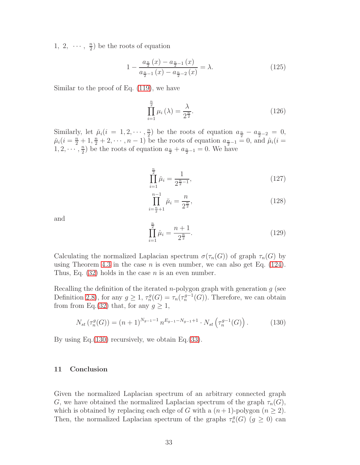$1, 2, \cdots, \frac{n}{2}$  $\frac{n}{2}$ ) be the roots of equation

$$
1 - \frac{a_{\frac{n}{2}}(x) - a_{\frac{n}{2}-1}(x)}{a_{\frac{n}{2}-1}(x) - a_{\frac{n}{2}-2}(x)} = \lambda.
$$
 (125)

Similar to the proof of Eq. [\(119\)](#page-30-3), we have

$$
\prod_{i=1}^{\frac{n}{2}} \mu_i\left(\lambda\right) = \frac{\lambda}{2^{\frac{n}{2}}}.\tag{126}
$$

Similarly, let  $\mu_i(i = 1, 2, \dots, \frac{n}{2})$  $\frac{n}{2}$ ) be the roots of equation  $a_{\frac{n}{2}} - a_{\frac{n}{2}-2} = 0$ ,  $\mu_i(i = \frac{n}{2} + 1, \frac{n}{2} + 2, \cdots, n - 1)$  be the roots of equation  $a_{\frac{n}{2}-1} = 0$ , and  $\mu_i(i = 1, 2, \ldots, n - 1)$  $1, 2, \cdots, \frac{n}{2}$  $\frac{n}{2}$  be the roots of equation  $a_{\frac{n}{2}} + a_{\frac{n}{2}-1} = 0$ . We have

$$
\prod_{i=1}^{\frac{n}{2}} \check{\mu}_i = \frac{1}{2^{\frac{n}{2}-1}},\tag{127}
$$

$$
\prod_{i=\frac{n}{2}+1}^{n-1} \breve{\mu}_i = \frac{n}{2^{\frac{n}{2}}},\tag{128}
$$

and

<span id="page-32-0"></span>
$$
\prod_{i=1}^{\frac{n}{2}} \hat{\mu}_i = \frac{n+1}{2^{\frac{n}{2}}}.\tag{129}
$$

Calculating the normalized Laplacian spectrum  $\sigma(\tau_n(G))$  of graph  $\tau_n(G)$  by using Theorem [4.3](#page-8-1) in the case *n* is even number, we can also get Eq.  $(124)$ . Thus, Eq.  $(32)$  holds in the case *n* is an even number.

Recalling the definition of the iterated *n*-polygon graph with generation  $g$  (see Definition [2.8\)](#page-3-2), for any  $g \geq 1$ ,  $\tau_n^g(G) = \tau_n(\tau_n^{g-1}(G))$ . Therefore, we can obtain from from Eq.[\(32\)](#page-10-3) that, for any  $g \geq 1$ ,

$$
N_{st}\left(\tau_n^g(G)\right) = (n+1)^{N_{g-1}-1} n^{E_{g-1}-N_{g-1}+1} \cdot N_{st}\left(\tau_n^{g-1}(G)\right). \tag{130}
$$

By using Eq.[\(130\)](#page-32-0) recursively, we obtain Eq.[\(33\)](#page-10-4).

# 11 Conclusion

Given the normalized Laplacian spectrum of an arbitrary connected graph G, we have obtained the normalized Laplacian spectrum of the graph  $\tau_n(G)$ , which is obtained by replacing each edge of G with a  $(n+1)$ -polygon  $(n \geq 2)$ . Then, the normalized Laplacian spectrum of the graphs  $\tau_n^g(G)$   $(g \geq 0)$  can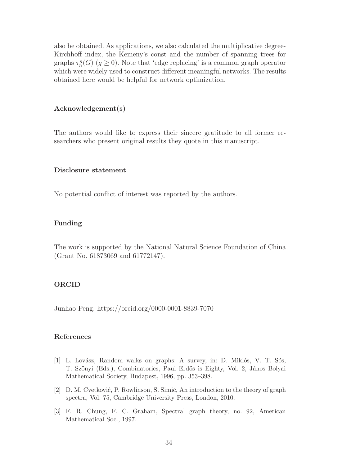also be obtained. As applications, we also calculated the multiplicative degree-Kirchhoff index, the Kemeny's const and the number of spanning trees for graphs  $\tau_n^g(G)$   $(g \ge 0)$ . Note that 'edge replacing' is a common graph operator which were widely used to construct different meaningful networks. The results obtained here would be helpful for network optimization.

## Acknowledgement(s)

The authors would like to express their sincere gratitude to all former researchers who present original results they quote in this manuscript.

#### Disclosure statement

No potential conflict of interest was reported by the authors.

## Funding

The work is supported by the National Natural Science Foundation of China (Grant No. 61873069 and 61772147).

# ORCID

Junhao Peng, https://orcid.org/0000-0001-8839-7070

# References

- <span id="page-33-0"></span>[1] L. Lovász, Random walks on graphs: A survey, in: D. Miklós, V. T. Sós, T. Szönyi (Eds.), Combinatorics, Paul Erdös is Eighty, Vol. 2, János Bolyai Mathematical Society, Budapest, 1996, pp. 353–398.
- <span id="page-33-1"></span>[2] D. M. Cvetković, P. Rowlinson, S. Simić, An introduction to the theory of graph spectra, Vol. 75, Cambridge University Press, London, 2010.
- <span id="page-33-2"></span>[3] F. R. Chung, F. C. Graham, Spectral graph theory, no. 92, American Mathematical Soc., 1997.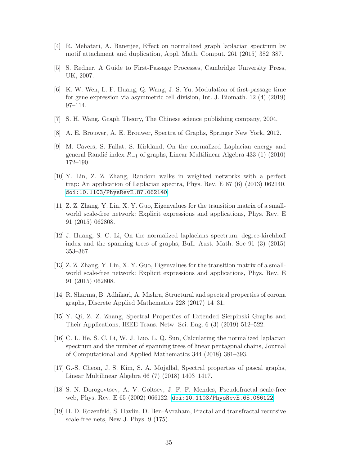- <span id="page-34-1"></span><span id="page-34-0"></span>[4] R. Mehatari, A. Banerjee, Effect on normalized graph laplacian spectrum by motif attachment and duplication, Appl. Math. Comput. 261 (2015) 382–387.
- <span id="page-34-2"></span>[5] S. Redner, A Guide to First-Passage Processes, Cambridge University Press, UK, 2007.
- [6] K. W. Wen, L. F. Huang, Q. Wang, J. S. Yu, Modulation of first-passage time for gene expression via asymmetric cell division, Int. J. Biomath. 12 (4) (2019) 97–114.
- <span id="page-34-4"></span><span id="page-34-3"></span>[7] S. H. Wang, Graph Theory, The Chinese science publishing company, 2004.
- <span id="page-34-5"></span>[8] A. E. Brouwer, A. E. Brouwer, Spectra of Graphs, Springer New York, 2012.
- [9] M. Cavers, S. Fallat, S. Kirkland, On the normalized Laplacian energy and general Randić index  $R_{-1}$  of graphs, Linear Multilinear Algebra 433 (1) (2010) 172–190.
- [10] Y. Lin, Z. Z. Zhang, Random walks in weighted networks with a perfect trap: An application of Laplacian spectra, Phys. Rev. E 87 (6) (2013) 062140. [doi:10.1103/PhysRevE.87.062140](http://dx.doi.org/10.1103/PhysRevE.87.062140).
- [11] Z. Z. Zhang, Y. Lin, X. Y. Guo, Eigenvalues for the transition matrix of a smallworld scale-free network: Explicit expressions and applications, Phys. Rev. E 91 (2015) 062808.
- [12] J. Huang, S. C. Li, On the normalized laplacians spectrum, degree-kirchhoff index and the spanning trees of graphs, Bull. Aust. Math. Soc 91 (3) (2015) 353–367.
- [13] Z. Z. Zhang, Y. Lin, X. Y. Guo, Eigenvalues for the transition matrix of a smallworld scale-free network: Explicit expressions and applications, Phys. Rev. E 91 (2015) 062808.
- [14] R. Sharma, B. Adhikari, A. Mishra, Structural and spectral properties of corona graphs, Discrete Applied Mathematics 228 (2017) 14–31.
- [15] Y. Qi, Z. Z. Zhang, Spectral Properties of Extended Sierpinski Graphs and Their Applications, IEEE Trans. Netw. Sci. Eng. 6 (3) (2019) 512–522.
- [16] C. L. He, S. C. Li, W. J. Luo, L. Q. Sun, Calculating the normalized laplacian spectrum and the number of spanning trees of linear pentagonal chains, Journal of Computational and Applied Mathematics 344 (2018) 381–393.
- <span id="page-34-6"></span>[17] G.-S. Cheon, J. S. Kim, S. A. Mojallal, Spectral properties of pascal graphs, Linear Multilinear Algebra 66 (7) (2018) 1403–1417.
- <span id="page-34-7"></span>[18] S. N. Dorogovtsev, A. V. Goltsev, J. F. F. Mendes, Pseudofractal scale-free web, Phys. Rev. E 65 (2002) 066122. [doi:10.1103/PhysRevE.65.066122](http://dx.doi.org/10.1103/PhysRevE.65.066122).
- <span id="page-34-8"></span>[19] H. D. Rozenfeld, S. Havlin, D. Ben-Avraham, Fractal and transfractal recursive scale-free nets, New J. Phys. 9 (175).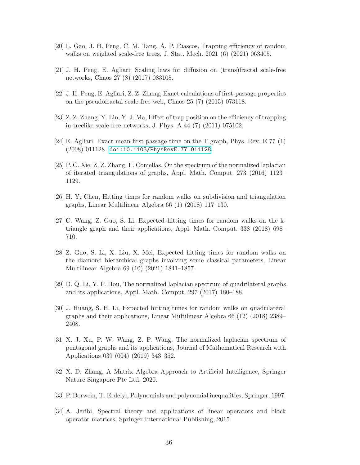- <span id="page-35-2"></span><span id="page-35-0"></span>[20] L. Gao, J. H. Peng, C. M. Tang, A. P. Riascos, Trapping efficiency of random walks on weighted scale-free trees, J. Stat. Mech. 2021 (6) (2021) 063405.
- <span id="page-35-1"></span>[21] J. H. Peng, E. Agliari, Scaling laws for diffusion on (trans)fractal scale-free networks, Chaos 27 (8) (2017) 083108.
- [22] J. H. Peng, E. Agliari, Z. Z. Zhang, Exact calculations of first-passage properties on the pseudofractal scale-free web, Chaos 25 (7) (2015) 073118.
- <span id="page-35-3"></span>[23] Z. Z. Zhang, Y. Lin, Y. J. Ma, Effect of trap position on the efficiency of trapping in treelike scale-free networks, J. Phys. A 44 (7) (2011) 075102.
- <span id="page-35-4"></span>[24] E. Agliari, Exact mean first-passage time on the T-graph, Phys. Rev. E 77 (1) (2008) 011128. [doi:10.1103/PhysRevE.77.011128](http://dx.doi.org/10.1103/PhysRevE.77.011128).
- [25] P. C. Xie, Z. Z. Zhang, F. Comellas, On the spectrum of the normalized laplacian of iterated triangulations of graphs, Appl. Math. Comput. 273 (2016) 1123– 1129.
- <span id="page-35-5"></span>[26] H. Y. Chen, Hitting times for random walks on subdivision and triangulation graphs, Linear Multilinear Algebra 66 (1) (2018) 117–130.
- [27] C. Wang, Z. Guo, S. Li, Expected hitting times for random walks on the ktriangle graph and their applications, Appl. Math. Comput. 338 (2018) 698– 710.
- <span id="page-35-6"></span>[28] Z. Guo, S. Li, X. Liu, X. Mei, Expected hitting times for random walks on the diamond hierarchical graphs involving some classical parameters, Linear Multilinear Algebra 69 (10) (2021) 1841–1857.
- <span id="page-35-7"></span>[29] D. Q. Li, Y. P. Hou, The normalized laplacian spectrum of quadrilateral graphs and its applications, Appl. Math. Comput. 297 (2017) 180–188.
- [30] J. Huang, S. H. Li, Expected hitting times for random walks on quadrilateral graphs and their applications, Linear Multilinear Algebra 66 (12) (2018) 2389– 2408.
- <span id="page-35-8"></span>[31] X. J. Xu, P. W. Wang, Z. P. Wang, The normalized laplacian spectrum of pentagonal graphs and its applications, Journal of Mathematical Research with Applications 039 (004) (2019) 343–352.
- <span id="page-35-10"></span><span id="page-35-9"></span>[32] X. D. Zhang, A Matrix Algebra Approach to Artificial Intelligence, Springer Nature Singapore Pte Ltd, 2020.
- <span id="page-35-11"></span>[33] P. Borwein, T. Erdelyi, Polynomials and polynomial inequalities, Springer, 1997.
- [34] A. Jeribi, Spectral theory and applications of linear operators and block operator matrices, Springer International Publishing, 2015.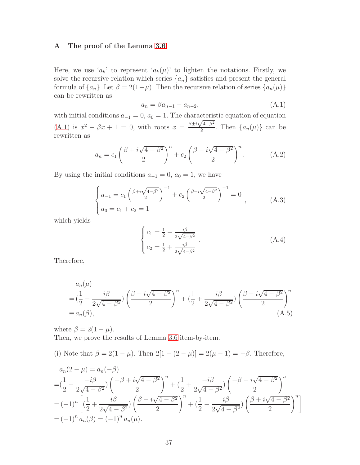#### <span id="page-36-0"></span>A The proof of the Lemma [3.6](#page-5-0)

Here, we use ' $a_k$ ' to represent ' $a_k(\mu)$ ' to lighten the notations. Firstly, we solve the recursive relation which series  $\{a_n\}$  satisfies and present the general formula of  $\{a_n\}$ . Let  $\beta = 2(1-\mu)$ . Then the recursive relation of series  $\{a_n(\mu)\}$ can be rewritten as

<span id="page-36-1"></span>
$$
a_n = \beta a_{n-1} - a_{n-2}, \tag{A.1}
$$

with initial conditions  $a_{-1} = 0$ ,  $a_0 = 1$ . The characteristic equation of equation [\(A.1\)](#page-36-1) is  $x^2 - \beta x + 1 = 0$ , with roots  $x = \frac{\beta \pm i \sqrt{4 - \beta^2}}{2}$  $\frac{a^{n+1}-b}{2}$ . Then  $\{a_n(\mu)\}\)$  can be rewritten as

$$
a_n = c_1 \left(\frac{\beta + i\sqrt{4 - \beta^2}}{2}\right)^n + c_2 \left(\frac{\beta - i\sqrt{4 - \beta^2}}{2}\right)^n. \tag{A.2}
$$

By using the initial conditions  $a_{-1} = 0$ ,  $a_0 = 1$ , we have

$$
\begin{cases}\na_{-1} = c_1 \left(\frac{\beta + i \sqrt{4 - \beta^2}}{2}\right)^{-1} + c_2 \left(\frac{\beta - i \sqrt{4 - \beta^2}}{2}\right)^{-1} = 0 \\
a_0 = c_1 + c_2 = 1\n\end{cases}
$$
\n(A.3)

which yields

$$
\begin{cases}\nc_1 = \frac{1}{2} - \frac{i\beta}{2\sqrt{4-\beta^2}} \\
c_2 = \frac{1}{2} + \frac{i\beta}{2\sqrt{4-\beta^2}}\n\end{cases}.
$$
\n(A.4)

Therefore,

<span id="page-36-2"></span>
$$
a_n(\mu)
$$
  
=  $(\frac{1}{2} - \frac{i\beta}{2\sqrt{4-\beta^2}}) (\frac{\beta + i\sqrt{4-\beta^2}}{2})^n + (\frac{1}{2} + \frac{i\beta}{2\sqrt{4-\beta^2}}) (\frac{\beta - i\sqrt{4-\beta^2}}{2})^n$   
\equiv  $a_n(\beta)$ , (A.5)

where  $\beta = 2(1 - \mu)$ . Then, we prove the results of Lemma [3.6](#page-5-0) item-by-item.

(i) Note that  $\beta = 2(1 - \mu)$ . Then  $2[1 - (2 - \mu)] = 2(\mu - 1) = -\beta$ . Therefore,

$$
a_n(2 - \mu) = a_n(-\beta)
$$
  
=  $(\frac{1}{2} - \frac{-i\beta}{2\sqrt{4 - \beta^2}}) \left(\frac{-\beta + i\sqrt{4 - \beta^2}}{2}\right)^n + (\frac{1}{2} + \frac{-i\beta}{2\sqrt{4 - \beta^2}}) \left(\frac{-\beta - i\sqrt{4 - \beta^2}}{2}\right)^n$   
=  $(-1)^n \left[ (\frac{1}{2} + \frac{i\beta}{2\sqrt{4 - \beta^2}}) \left(\frac{\beta - i\sqrt{4 - \beta^2}}{2}\right)^n + (\frac{1}{2} - \frac{i\beta}{2\sqrt{4 - \beta^2}}) \left(\frac{\beta + i\sqrt{4 - \beta^2}}{2}\right)^n \right]$   
=  $(-1)^n a_n(\beta) = (-1)^n a_n(\mu).$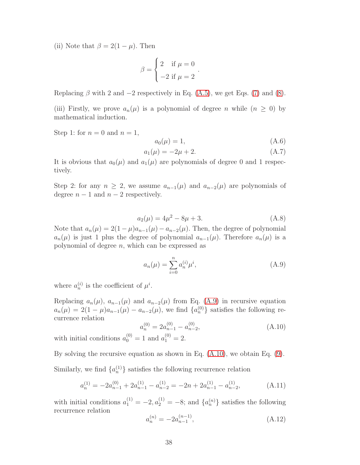(ii) Note that  $\beta = 2(1 - \mu)$ . Then

$$
\beta = \begin{cases} 2 & \text{if } \mu = 0 \\ -2 & \text{if } \mu = 2 \end{cases}.
$$

Replacing  $\beta$  with 2 and  $-2$  respectively in Eq. [\(A.5\)](#page-36-2), we get Eqs. [\(7\)](#page-5-2) and [\(8\)](#page-5-5).

(iii) Firstly, we prove  $a_n(\mu)$  is a polynomial of degree n while  $(n \geq 0)$  by mathematical induction.

Step 1: for  $n = 0$  and  $n = 1$ ,

$$
a_0(\mu) = 1,\tag{A.6}
$$

$$
a_1(\mu) = -2\mu + 2. \tag{A.7}
$$

It is obvious that  $a_0(\mu)$  and  $a_1(\mu)$  are polynomials of degree 0 and 1 respectively.

Step 2: for any  $n \geq 2$ , we assume  $a_{n-1}(\mu)$  and  $a_{n-2}(\mu)$  are polynomials of degree  $n-1$  and  $n-2$  respectively.

$$
a_2(\mu) = 4\mu^2 - 8\mu + 3. \tag{A.8}
$$

Note that  $a_n(\mu) = 2(1 - \mu)a_{n-1}(\mu) - a_{n-2}(\mu)$ . Then, the degree of polynomial  $a_n(\mu)$  is just 1 plus the degree of polynomial  $a_{n-1}(\mu)$ . Therefore  $a_n(\mu)$  is a polynomial of degree n, which can be expressed as

<span id="page-37-0"></span>
$$
a_n(\mu) = \sum_{i=0}^n a_n^{(i)} \mu^i,
$$
\n(A.9)

where  $a_n^{(i)}$  is the coefficient of  $\mu^i$ .

Replacing  $a_n(\mu)$ ,  $a_{n-1}(\mu)$  and  $a_{n-2}(\mu)$  from Eq. [\(A.9\)](#page-37-0) in recursive equation  $a_n(\mu) = 2(1-\mu)a_{n-1}(\mu) - a_{n-2}(\mu)$ , we find  $\{a_n^{(0)}\}$  satisfies the following recurrence relation

<span id="page-37-1"></span>
$$
a_n^{(0)} = 2a_{n-1}^{(0)} - a_{n-2}^{(0)}, \tag{A.10}
$$

with initial conditions  $a_0^{(0)} = 1$  and  $a_1^{(0)} = 2$ .

By solving the recursive equation as shown in Eq.  $(A.10)$ , we obtain Eq.  $(9)$ .

Similarly, we find  $\{a_n^{(1)}\}$  satisfies the following recurrence relation

<span id="page-37-2"></span>
$$
a_n^{(1)} = -2a_{n-1}^{(0)} + 2a_{n-1}^{(1)} - a_{n-2}^{(1)} = -2n + 2a_{n-1}^{(1)} - a_{n-2}^{(1)},
$$
\n(A.11)

with initial conditions  $a_1^{(1)} = -2, a_2^{(1)} = -8$ ; and  $\{a_n^{(n)}\}$  satisfies the following recurrence relation

<span id="page-37-3"></span>
$$
a_n^{(n)} = -2a_{n-1}^{(n-1)},\tag{A.12}
$$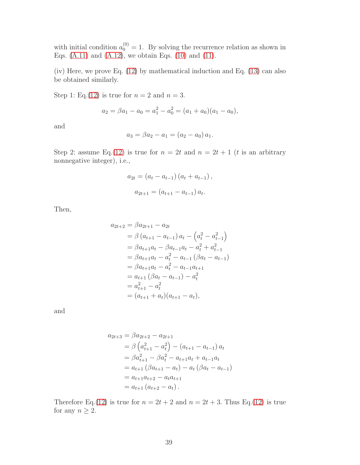with initial condition  $a_0^{(0)} = 1$ . By solving the recurrence relation as shown in Eqs.  $(A.11)$  and  $(A.12)$ , we obtain Eqs.  $(10)$  and  $(11)$ .

(iv) Here, we prove Eq. [\(12\)](#page-5-1) by mathematical induction and Eq. [\(13\)](#page-6-0) can also be obtained similarly.

Step 1: Eq.[\(12\)](#page-5-1) is true for  $n = 2$  and  $n = 3$ .

$$
a_2 = \beta a_1 - a_0 = a_1^2 - a_0^2 = (a_1 + a_0)(a_1 - a_0),
$$

and

$$
a_3 = \beta a_2 - a_1 = (a_2 - a_0) a_1.
$$

Step 2: assume Eq.[\(12\)](#page-5-1) is true for  $n = 2t$  and  $n = 2t + 1$  (*t* is an arbitrary nonnegative integer), i.e.,

$$
a_{2t} = (a_t - a_{t-1}) (a_t + a_{t-1}),
$$
  

$$
a_{2t+1} = (a_{t+1} - a_{t-1}) a_t.
$$

Then,

$$
a_{2t+2} = \beta a_{2t+1} - a_{2t}
$$
  
=  $\beta (a_{t+1} - a_{t-1}) a_t - (a_t^2 - a_{t-1}^2)$   
=  $\beta a_{t+1} a_t - \beta a_{t-1} a_t - a_t^2 + a_{t-1}^2$   
=  $\beta a_{t+1} a_t - a_t^2 - a_{t-1} (\beta a_t - a_{t-1})$   
=  $\beta a_{t+1} a_t - a_t^2 - a_{t-1} a_{t+1}$   
=  $a_{t+1} (\beta a_t - a_{t-1}) - a_t^2$   
=  $a_{t+1}^2 - a_t^2$   
=  $(a_{t+1} + a_t)(a_{t+1} - a_t),$ 

and

$$
a_{2t+3} = \beta a_{2t+2} - a_{2t+1}
$$
  
=  $\beta \left( a_{t+1}^2 - a_t^2 \right) - \left( a_{t+1} - a_{t-1} \right) a_t$   
=  $\beta a_{t+1}^2 - \beta a_t^2 - a_{t+1} a_t + a_{t-1} a_t$   
=  $a_{t+1} \left( \beta a_{t+1} - a_t \right) - a_t \left( \beta a_t - a_{t-1} \right)$   
=  $a_{t+1} a_{t+2} - a_t a_{t+1}$   
=  $a_{t+1} \left( a_{t+2} - a_t \right).$ 

Therefore Eq.[\(12\)](#page-5-1) is true for  $n = 2t + 2$  and  $n = 2t + 3$ . Thus Eq.(12) is true for any  $n \geq 2$ .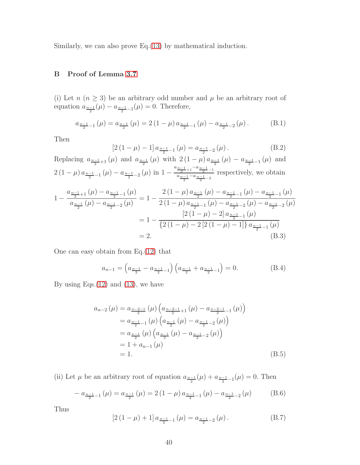<span id="page-39-0"></span>Similarly, we can also prove Eq.[\(13\)](#page-6-0) by mathematical induction.

# B Proof of Lemma [3.7](#page-6-1)

(i) Let  $n (n \geq 3)$  be an arbitrary odd number and  $\mu$  be an arbitrary root of equation  $a_{\frac{n-1}{2}}(\mu) - a_{\frac{n-1}{2}-1}(\mu) = 0$ . Therefore,

$$
a_{\frac{n-1}{2}-1}(\mu) = a_{\frac{n-1}{2}}(\mu) = 2(1-\mu)a_{\frac{n-1}{2}-1}(\mu) - a_{\frac{n-1}{2}-2}(\mu).
$$
 (B.1)

Then

$$
[2(1 - \mu) - 1] a_{\frac{n-1}{2} - 1}(\mu) = a_{\frac{n-1}{2} - 2}(\mu).
$$
 (B.2)

Replacing  $a_{\frac{n-1}{2}+1}(\mu)$  and  $a_{\frac{n-1}{2}}(\mu)$  with  $2(1-\mu)a_{\frac{n-1}{2}}(\mu) - a_{\frac{n-1}{2}-1}(\mu)$  and 2 (1 –  $\mu$ )  $a_{\frac{n-1}{2}-1}(\mu) - a_{\frac{n-1}{2}-2}(\mu)$  in  $1 - \frac{a_{\frac{n-1}{2}+1} - a_{\frac{n-1}{2}-1}}{a_{\frac{n-1}{2}} - a_{\frac{n-1}{2}-2}}$  $\frac{a_{n-1}-a_{n-1}}{a_{n-1}-a_{n-1}-2}$  respectively, we obtain

$$
1 - \frac{a_{\frac{n-1}{2}+1}(\mu) - a_{\frac{n-1}{2}-1}(\mu)}{a_{\frac{n-1}{2}}(\mu) - a_{\frac{n-1}{2}-2}(\mu)} = 1 - \frac{2(1-\mu)a_{\frac{n-1}{2}}(\mu) - a_{\frac{n-1}{2}-1}(\mu) - a_{\frac{n-1}{2}-2}(\mu)}{2(1-\mu)a_{\frac{n-1}{2}-1}(\mu) - a_{\frac{n-1}{2}-2}(\mu) - a_{\frac{n-1}{2}-2}(\mu)}
$$
  
= 
$$
1 - \frac{[2(1-\mu) - 2]a_{\frac{n-1}{2}-1}(\mu)}{\{2(1-\mu) - 2[2(1-\mu) - 1]\}a_{\frac{n-1}{2}-1}(\mu)}
$$
  
= 2. (B.3)

One can easy obtain from Eq.[\(12\)](#page-5-1) that

$$
a_{n-1} = \left(a_{\frac{n-1}{2}} - a_{\frac{n-1}{2}-1}\right)\left(a_{\frac{n-1}{2}} + a_{\frac{n-1}{2}-1}\right) = 0. \tag{B.4}
$$

By using Eqs. $(12)$  and  $(13)$ , we have

$$
a_{n-2}(\mu) = a_{\frac{n-2-1}{2}}(\mu) \left( a_{\frac{n-2-1}{2}+1}(\mu) - a_{\frac{n-2-1}{2}-1}(\mu) \right)
$$
  
\n
$$
= a_{\frac{n-1}{2}-1}(\mu) \left( a_{\frac{n-1}{2}}(\mu) - a_{\frac{n-1}{2}-2}(\mu) \right)
$$
  
\n
$$
= a_{\frac{n-1}{2}}(\mu) \left( a_{\frac{n-1}{2}}(\mu) - a_{\frac{n-1}{2}-2}(\mu) \right)
$$
  
\n
$$
= 1 + a_{n-1}(\mu)
$$
  
\n
$$
= 1.
$$
 (B.5)

(ii) Let  $\mu$  be an arbitrary root of equation  $a_{\frac{n-1}{2}}(\mu) + a_{\frac{n-1}{2}-1}(\mu) = 0$ . Then

$$
- a_{\frac{n-1}{2}-1}(\mu) = a_{\frac{n-1}{2}}(\mu) = 2(1-\mu)a_{\frac{n-1}{2}-1}(\mu) - a_{\frac{n-1}{2}-2}(\mu)
$$
 (B.6)

Thus

<span id="page-39-1"></span>
$$
[2(1 - \mu) + 1] a_{\frac{n-1}{2} - 1}(\mu) = a_{\frac{n-1}{2} - 2}(\mu).
$$
 (B.7)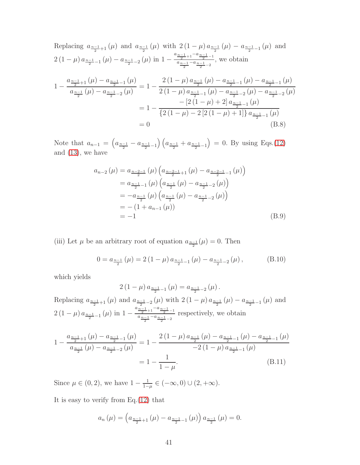Replacing 
$$
a_{\frac{n-1}{2}+1}(\mu)
$$
 and  $a_{\frac{n-1}{2}}(\mu)$  with  $2(1-\mu)a_{\frac{n-1}{2}}(\mu) - a_{\frac{n-1}{2}-1}(\mu)$  and  
\n
$$
2(1-\mu)a_{\frac{n-1}{2}-1}(\mu) - a_{\frac{n-1}{2}-2}(\mu)
$$
 in  $1 - \frac{a_{\frac{n-1}{2}+1} - a_{\frac{n-1}{2}} - 1}{a_{\frac{n-1}{2}-2}}$ , we obtain  
\n
$$
1 - \frac{a_{\frac{n-1}{2}+1}(\mu) - a_{\frac{n-1}{2}-1}(\mu)}{a_{\frac{n-1}{2}}(\mu) - a_{\frac{n-1}{2}-2}(\mu)} = 1 - \frac{2(1-\mu)a_{\frac{n-1}{2}}(\mu) - a_{\frac{n-1}{2}-1}(\mu) - a_{\frac{n-1}{2}-1}(\mu)}{2(1-\mu)a_{\frac{n-1}{2}-1}(\mu) - a_{\frac{n-1}{2}-2}(\mu) - a_{\frac{n-1}{2}-2}(\mu)}
$$
\n
$$
= 1 - \frac{[2(1-\mu)+2]a_{\frac{n-1}{2}-1}(\mu)}{\{2(1-\mu)-2[2(1-\mu)+1]\}a_{\frac{n-1}{2}-1}(\mu)}
$$
\n
$$
= 0
$$
\n(B.8)

Note that  $a_{n-1} = \left(a_{\frac{n-1}{2}} - a_{\frac{n-1}{2}-1}\right)\left(a_{\frac{n-1}{2}} + a_{\frac{n-1}{2}-1}\right)$  $= 0$ . By using Eqs.[\(12\)](#page-5-1) and [\(13\)](#page-6-0), we have

$$
a_{n-2}(\mu) = a_{\frac{n-2-1}{2}}(\mu) \left( a_{\frac{n-2-1}{2}+1}(\mu) - a_{\frac{n-2-1}{2}-1}(\mu) \right)
$$
  
\n
$$
= a_{\frac{n-1}{2}-1}(\mu) \left( a_{\frac{n-1}{2}}(\mu) - a_{\frac{n-1}{2}-2}(\mu) \right)
$$
  
\n
$$
= -a_{\frac{n-1}{2}}(\mu) \left( a_{\frac{n-1}{2}}(\mu) - a_{\frac{n-1}{2}-2}(\mu) \right)
$$
  
\n
$$
= -(1 + a_{n-1}(\mu))
$$
  
\n
$$
= -1
$$
\n(B.9)

(iii) Let  $\mu$  be an arbitrary root of equation  $a_{\frac{n-1}{2}}(\mu) = 0$ . Then

$$
0 = a_{\frac{n-1}{2}}(\mu) = 2(1-\mu)a_{\frac{n-1}{2}-1}(\mu) - a_{\frac{n-1}{2}-2}(\mu),
$$
 (B.10)

which yields

$$
2(1 - \mu) a_{\frac{n-1}{2} - 1}(\mu) = a_{\frac{n-1}{2} - 2}(\mu).
$$

Replacing  $a_{\frac{n-1}{2}+1}(\mu)$  and  $a_{\frac{n-1}{2}-2}(\mu)$  with  $2(1-\mu)a_{\frac{n-1}{2}}(\mu)-a_{\frac{n-1}{2}-1}(\mu)$  and  $2(1-\mu)a_{\frac{n-1}{2}-1}(\mu)$  in  $1-\frac{a_{\frac{n-1}{2}+1}-a_{\frac{n-1}{2}-1}}{a_{\frac{n-1}{2}-a_{\frac{n-1}{2}-2}}}$  $\frac{a_{n-1}-a_{n-1}}{a_{n-1}-a_{n-1}-2}$  respectively, we obtain

$$
1 - \frac{a_{\frac{n-1}{2}+1}(\mu) - a_{\frac{n-1}{2}-1}(\mu)}{a_{\frac{n-1}{2}}(\mu) - a_{\frac{n-1}{2}-2}(\mu)} = 1 - \frac{2(1-\mu)a_{\frac{n-1}{2}}(\mu) - a_{\frac{n-1}{2}-1}(\mu) - a_{\frac{n-1}{2}-1}(\mu)}{-2(1-\mu)a_{\frac{n-1}{2}-1}(\mu)}
$$
  
= 
$$
1 - \frac{1}{1-\mu}.
$$
 (B.11)

Since  $\mu \in (0, 2)$ , we have  $1 - \frac{1}{1 - 1}$  $\frac{1}{1-\mu} \in (-\infty, 0) \cup (2, +\infty).$ 

It is easy to verify from Eq.[\(12\)](#page-5-1) that

$$
a_n(\mu) = \left(a_{\frac{n-1}{2}+1}(\mu) - a_{\frac{n-1}{2}-1}(\mu)\right) a_{\frac{n-1}{2}}(\mu) = 0.
$$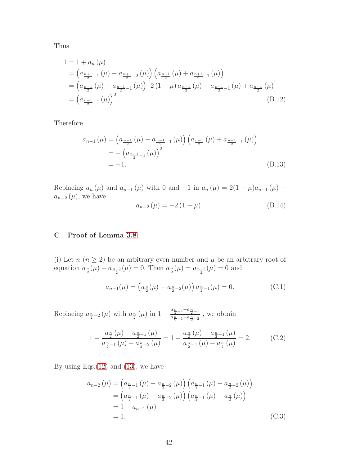Thus

$$
1 = 1 + a_n(\mu)
$$
  
=  $\left(a_{\frac{n+1}{2}-1}(\mu) - a_{\frac{n+1}{2}-2}(\mu)\right) \left(a_{\frac{n+1}{2}}(\mu) + a_{\frac{n+1}{2}-1}(\mu)\right)$   
=  $\left(a_{\frac{n-1}{2}}(\mu) - a_{\frac{n-1}{2}-1}(\mu)\right) \left[2\left(1-\mu\right)a_{\frac{n-1}{2}}(\mu) - a_{\frac{n-1}{2}-1}(\mu) + a_{\frac{n-1}{2}}(\mu)\right]$   
=  $\left(a_{\frac{n-1}{2}-1}(\mu)\right)^2$ . (B.12)

Therefore

$$
a_{n-1}(\mu) = \left(a_{\frac{n-1}{2}}(\mu) - a_{\frac{n-1}{2}-1}(\mu)\right) \left(a_{\frac{n-1}{2}}(\mu) + a_{\frac{n-1}{2}-1}(\mu)\right)
$$
  
=  $-\left(a_{\frac{n-1}{2}-1}(\mu)\right)^2$   
=  $-1.$  (B.13)

Replacing  $a_n(\mu)$  and  $a_{n-1}(\mu)$  with 0 and  $-1$  in  $a_n(\mu) = 2(1 - \mu)a_{n-1}(\mu)$  $a_{n-2}(\mu)$ , we have

$$
a_{n-2}(\mu) = -2(1 - \mu). \tag{B.14}
$$

# <span id="page-41-0"></span>C Proof of Lemma [3.8](#page-6-2)

(i) Let  $n (n \geq 2)$  be an arbitrary even number and  $\mu$  be an arbitrary root of equation  $a_{\frac{n}{2}}(\mu) - a_{\frac{n-2}{2}}(\mu) = 0$ . Then  $a_{\frac{n}{2}}(\mu) = a_{\frac{n-2}{2}}(\mu) = 0$  and

$$
a_{n-1}(\mu) = \left(a_{\frac{n}{2}}(\mu) - a_{\frac{n}{2}-2}(\mu)\right) a_{\frac{n}{2}-1}(\mu) = 0.
$$
 (C.1)

Replacing  $a_{\frac{n}{2}-2}(\mu)$  with  $a_{\frac{n}{2}}(\mu)$  in  $1-\frac{a_{\frac{n}{2}+1}-a_{\frac{n}{2}-1}}{a_{\frac{n}{2}-1}-a_{\frac{n}{2}-2}}$  $\frac{a_{\frac{n}{2}+1}-\frac{n}{2}-1}{a_{\frac{n}{2}-1}-a_{\frac{n}{2}-2}}$ , we obtain

$$
1 - \frac{a_{\frac{n}{2}}(\mu) - a_{\frac{n}{2}-1}(\mu)}{a_{\frac{n}{2}-1}(\mu) - a_{\frac{n}{2}-2}(\mu)} = 1 - \frac{a_{\frac{n}{2}}(\mu) - a_{\frac{n}{2}-1}(\mu)}{a_{\frac{n}{2}-1}(\mu) - a_{\frac{n}{2}}(\mu)} = 2.
$$
 (C.2)

By using Eqs. $(12)$  and  $(13)$ , we have

$$
a_{n-2}(\mu) = (a_{\frac{n}{2}-1}(\mu) - a_{\frac{n}{2}-2}(\mu)) (a_{\frac{n}{2}-1}(\mu) + a_{\frac{n}{2}-2}(\mu))
$$
  
=  $(a_{\frac{n}{2}-1}(\mu) - a_{\frac{n}{2}-2}(\mu)) (a_{\frac{n}{2}-1}(\mu) + a_{\frac{n}{2}}(\mu))$   
= 1 + a\_{n-1}(\mu)  
= 1. (C.3)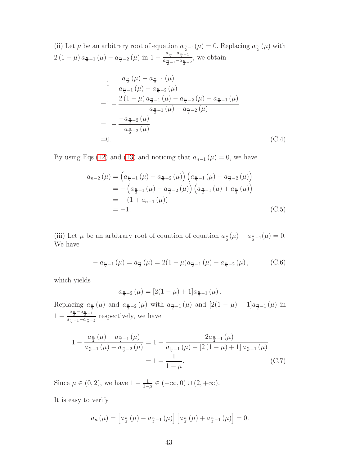(ii) Let  $\mu$  be an arbitrary root of equation  $a_{\frac{n}{2}-1}(\mu) = 0$ . Replacing  $a_{\frac{n}{2}}(\mu)$  with  $2(1-\mu)a_{\frac{n}{2}-1}(\mu)-a_{\frac{n}{2}-2}(\mu)$  in  $1-\frac{a_{\frac{n}{2}}-a_{\frac{n}{2}-1}}{a_{\frac{n}{2}-1}-a_{\frac{n}{2}}}$  $\frac{a_{\frac{n}{2}-1}-a_{\frac{n}{2}-2}}{a_{\frac{n}{2}-1}-a_{\frac{n}{2}-2}}$ , we obtain

$$
1 - \frac{a_{\frac{n}{2}}(\mu) - a_{\frac{n}{2}-1}(\mu)}{a_{\frac{n}{2}-1}(\mu) - a_{\frac{n}{2}-2}(\mu)}
$$
  
= 
$$
1 - \frac{2(1-\mu)a_{\frac{n}{2}-1}(\mu) - a_{\frac{n}{2}-2}(\mu) - a_{\frac{n}{2}-1}(\mu)}{a_{\frac{n}{2}-1}(\mu) - a_{\frac{n}{2}-2}(\mu)}
$$
  
= 
$$
1 - \frac{-a_{\frac{n}{2}-2}(\mu)}{-a_{\frac{n}{2}-2}(\mu)}
$$
  
= 0. (C.4)

By using Eqs.[\(12\)](#page-5-1) and [\(13\)](#page-6-0) and noticing that  $a_{n-1}(\mu) = 0$ , we have

$$
a_{n-2}(\mu) = (a_{\frac{n}{2}-1}(\mu) - a_{\frac{n}{2}-2}(\mu)) (a_{\frac{n}{2}-1}(\mu) + a_{\frac{n}{2}-2}(\mu))
$$
  
= - (a\_{\frac{n}{2}-1}(\mu) - a\_{\frac{n}{2}-2}(\mu)) (a\_{\frac{n}{2}-1}(\mu) + a\_{\frac{n}{2}}(\mu))  
= - (1 + a\_{n-1}(\mu))  
= -1. (C.5)

(iii) Let  $\mu$  be an arbitrary root of equation of equation  $a_{\frac{n}{2}}(\mu) + a_{\frac{n}{2}-1}(\mu) = 0$ . We have

$$
- a_{\frac{n}{2}-1}(\mu) = a_{\frac{n}{2}}(\mu) = 2(1-\mu)a_{\frac{n}{2}-1}(\mu) - a_{\frac{n}{2}-2}(\mu), \qquad (C.6)
$$

which yields

$$
a_{\frac{n}{2}-2}(\mu) = [2(1-\mu) + 1]a_{\frac{n}{2}-1}(\mu).
$$

Replacing  $a_{\frac{n}{2}}(\mu)$  and  $a_{\frac{n}{2}-2}(\mu)$  with  $a_{\frac{n}{2}-1}(\mu)$  and  $[2(1-\mu)+1]a_{\frac{n}{2}-1}(\mu)$  in  $1-\frac{a_{\frac{n}{2}}-a_{\frac{n}{2}-1}}{a_{\frac{n}{2}-1}-a_{\frac{n}{2}-1}}$  $\frac{\frac{2}{2} - \frac{2}{2} - 1}{\frac{2}{2} - 1 - a\frac{n}{2} - 2}$  respectively, we have

$$
1 - \frac{a_{\frac{n}{2}}(\mu) - a_{\frac{n}{2}-1}(\mu)}{a_{\frac{n}{2}-1}(\mu) - a_{\frac{n}{2}-2}(\mu)} = 1 - \frac{-2a_{\frac{n}{2}-1}(\mu)}{a_{\frac{n}{2}-1}(\mu) - [2(1-\mu)+1]a_{\frac{n}{2}-1}(\mu)}
$$
  
= 
$$
1 - \frac{1}{1-\mu}.
$$
 (C.7)

Since  $\mu \in (0, 2)$ , we have  $1 - \frac{1}{1 - 1}$  $\frac{1}{1-\mu} \in (-\infty, 0) \cup (2, +\infty).$ 

It is easy to verify

$$
a_n(\mu) = \left[ a_{\frac{n}{2}}(\mu) - a_{\frac{n}{2}-1}(\mu) \right] \left[ a_{\frac{n}{2}}(\mu) + a_{\frac{n}{2}-1}(\mu) \right] = 0.
$$